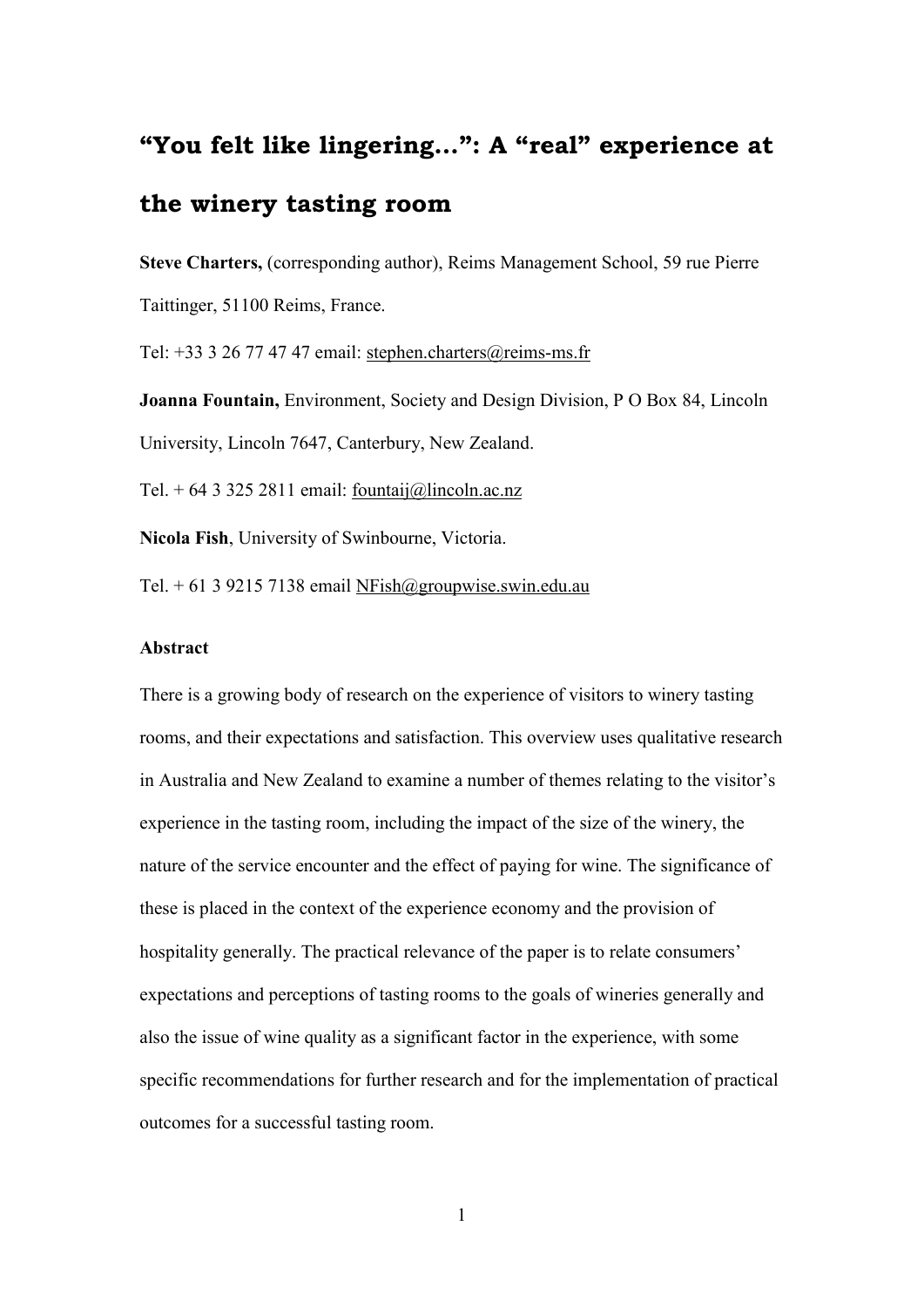# **"You felt like lingering…": A "real" experience at**

# **the winery tasting room**

**Steve Charters,** (corresponding author), Reims Management School, 59 rue Pierre Taittinger, 51100 Reims, France.

Tel: +33 3 26 77 47 47 email: [stephen.charters@reims-ms.fr](mailto:stephen.charters@reims-ms.fr) 

**Joanna Fountain,** Environment, Society and Design Division, P O Box 84, Lincoln University, Lincoln 7647, Canterbury, New Zealand.

Tel. + 64 3 325 2811 email: fountaij@lincoln.ac.nz

**Nicola Fish**, University of Swinbourne, Victoria.

Tel.  $+ 61$  3 9215 7138 email [NFish@groupwise.swin.edu.au](mailto:NFish@groupwise.swin.edu.au)

# **Abstract**

There is a growing body of research on the experience of visitors to winery tasting rooms, and their expectations and satisfaction. This overview uses qualitative research in Australia and New Zealand to examine a number of themes relating to the visitor's experience in the tasting room, including the impact of the size of the winery, the nature of the service encounter and the effect of paying for wine. The significance of these is placed in the context of the experience economy and the provision of hospitality generally. The practical relevance of the paper is to relate consumers' expectations and perceptions of tasting rooms to the goals of wineries generally and also the issue of wine quality as a significant factor in the experience, with some specific recommendations for further research and for the implementation of practical outcomes for a successful tasting room.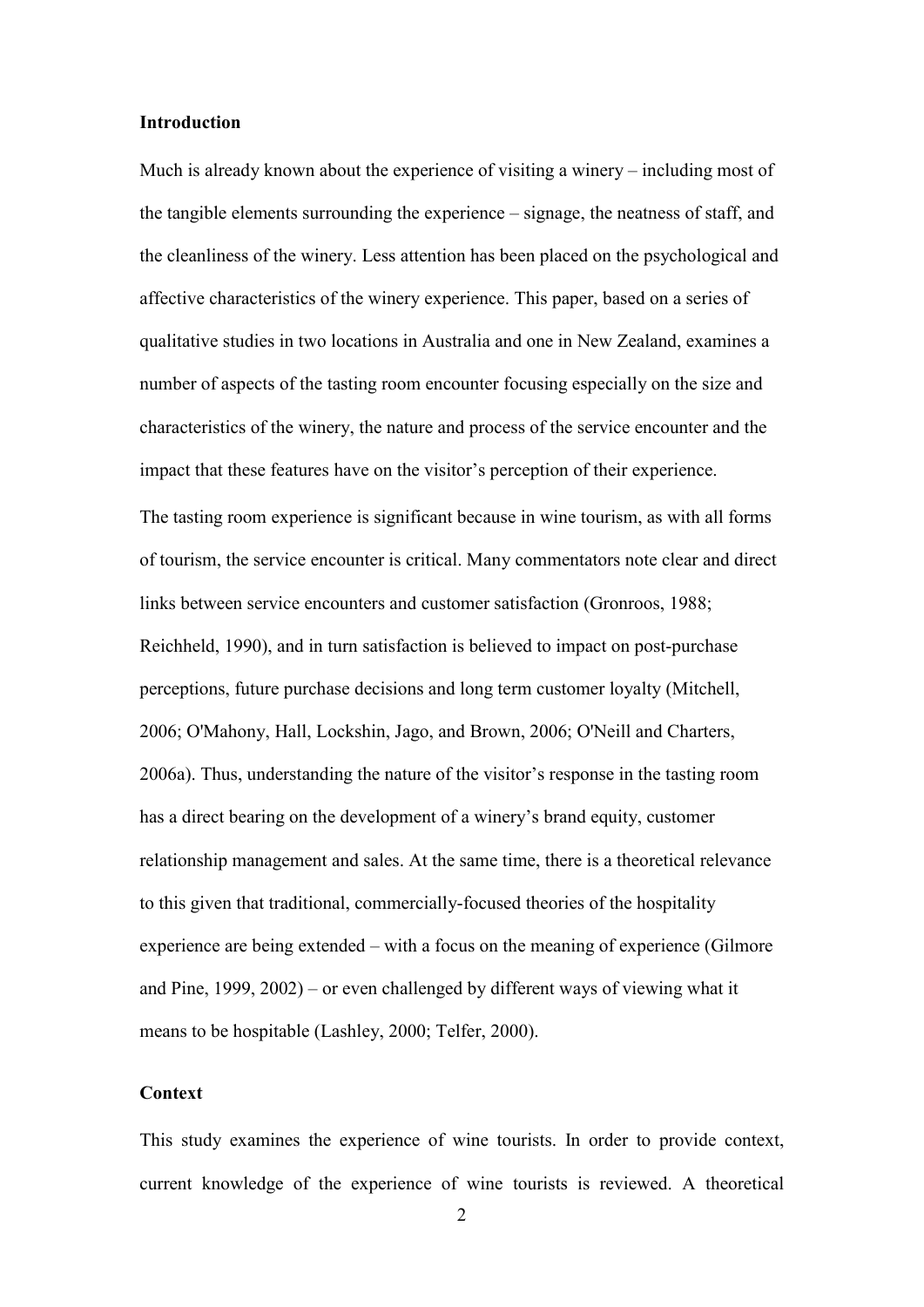#### **Introduction**

Much is already known about the experience of visiting a winery – including most of the tangible elements surrounding the experience – signage, the neatness of staff, and the cleanliness of the winery. Less attention has been placed on the psychological and affective characteristics of the winery experience. This paper, based on a series of qualitative studies in two locations in Australia and one in New Zealand, examines a number of aspects of the tasting room encounter focusing especially on the size and characteristics of the winery, the nature and process of the service encounter and the impact that these features have on the visitor's perception of their experience. The tasting room experience is significant because in wine tourism, as with all forms of tourism, the service encounter is critical. Many commentators note clear and direct links between service encounters and customer satisfaction (Gronroos, 1988; Reichheld, 1990), and in turn satisfaction is believed to impact on post-purchase perceptions, future purchase decisions and long term customer loyalty (Mitchell, 2006; O'Mahony, Hall, Lockshin, Jago, and Brown, 2006; O'Neill and Charters, 2006a). Thus, understanding the nature of the visitor's response in the tasting room has a direct bearing on the development of a winery's brand equity, customer relationship management and sales. At the same time, there is a theoretical relevance to this given that traditional, commercially-focused theories of the hospitality experience are being extended – with a focus on the meaning of experience (Gilmore and Pine, 1999, 2002) – or even challenged by different ways of viewing what it means to be hospitable (Lashley, 2000; Telfer, 2000).

# **Context**

This study examines the experience of wine tourists. In order to provide context, current knowledge of the experience of wine tourists is reviewed. A theoretical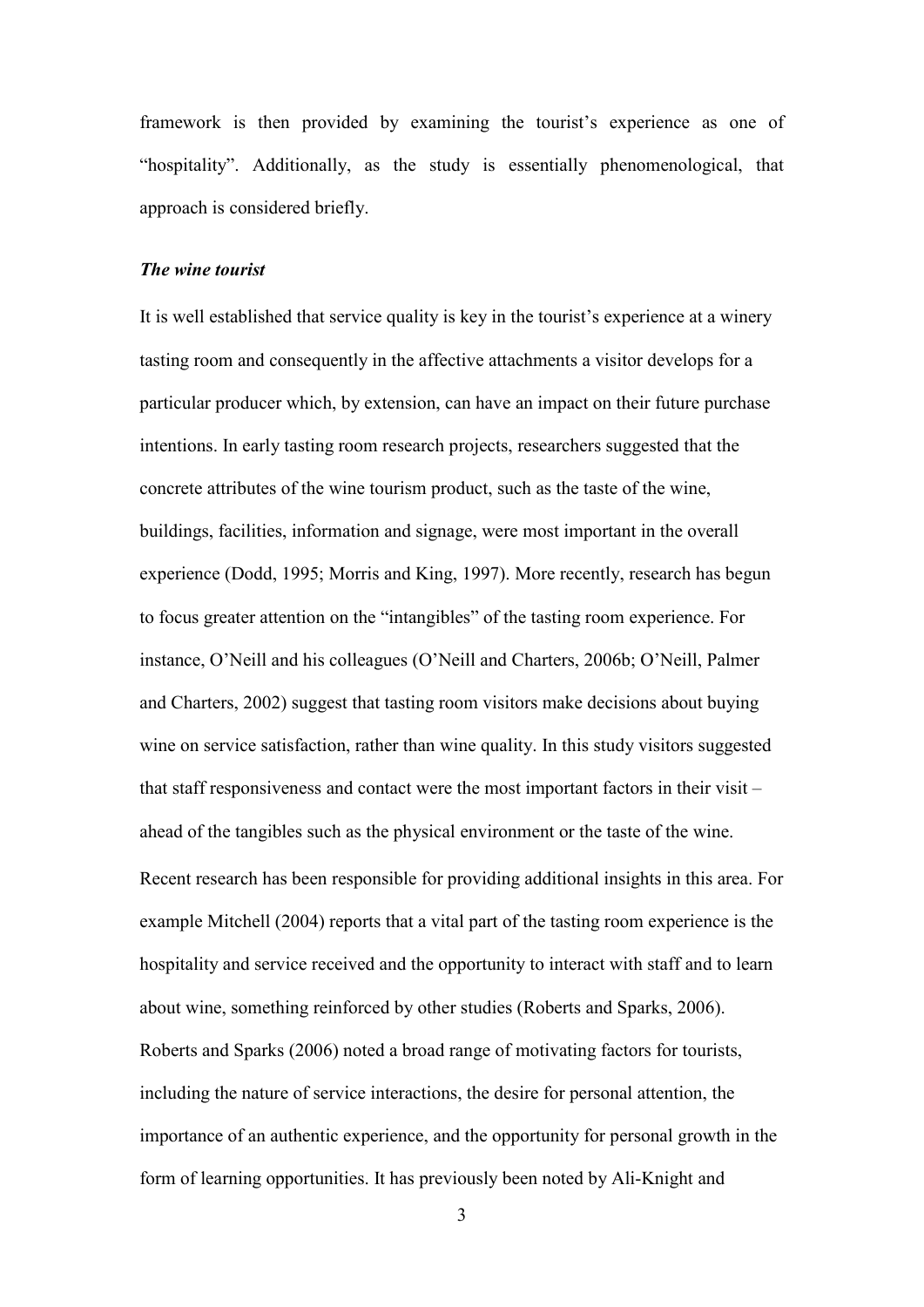framework is then provided by examining the tourist's experience as one of "hospitality". Additionally, as the study is essentially phenomenological, that approach is considered briefly.

#### *The wine tourist*

It is well established that service quality is key in the tourist's experience at a winery tasting room and consequently in the affective attachments a visitor develops for a particular producer which, by extension, can have an impact on their future purchase intentions. In early tasting room research projects, researchers suggested that the concrete attributes of the wine tourism product, such as the taste of the wine, buildings, facilities, information and signage, were most important in the overall experience (Dodd, 1995; Morris and King, 1997). More recently, research has begun to focus greater attention on the "intangibles" of the tasting room experience. For instance, O'Neill and his colleagues (O'Neill and Charters, 2006b; O'Neill, Palmer and Charters, 2002) suggest that tasting room visitors make decisions about buying wine on service satisfaction, rather than wine quality. In this study visitors suggested that staff responsiveness and contact were the most important factors in their visit – ahead of the tangibles such as the physical environment or the taste of the wine. Recent research has been responsible for providing additional insights in this area. For example Mitchell (2004) reports that a vital part of the tasting room experience is the hospitality and service received and the opportunity to interact with staff and to learn about wine, something reinforced by other studies (Roberts and Sparks, 2006). Roberts and Sparks (2006) noted a broad range of motivating factors for tourists, including the nature of service interactions, the desire for personal attention, the importance of an authentic experience, and the opportunity for personal growth in the form of learning opportunities. It has previously been noted by Ali-Knight and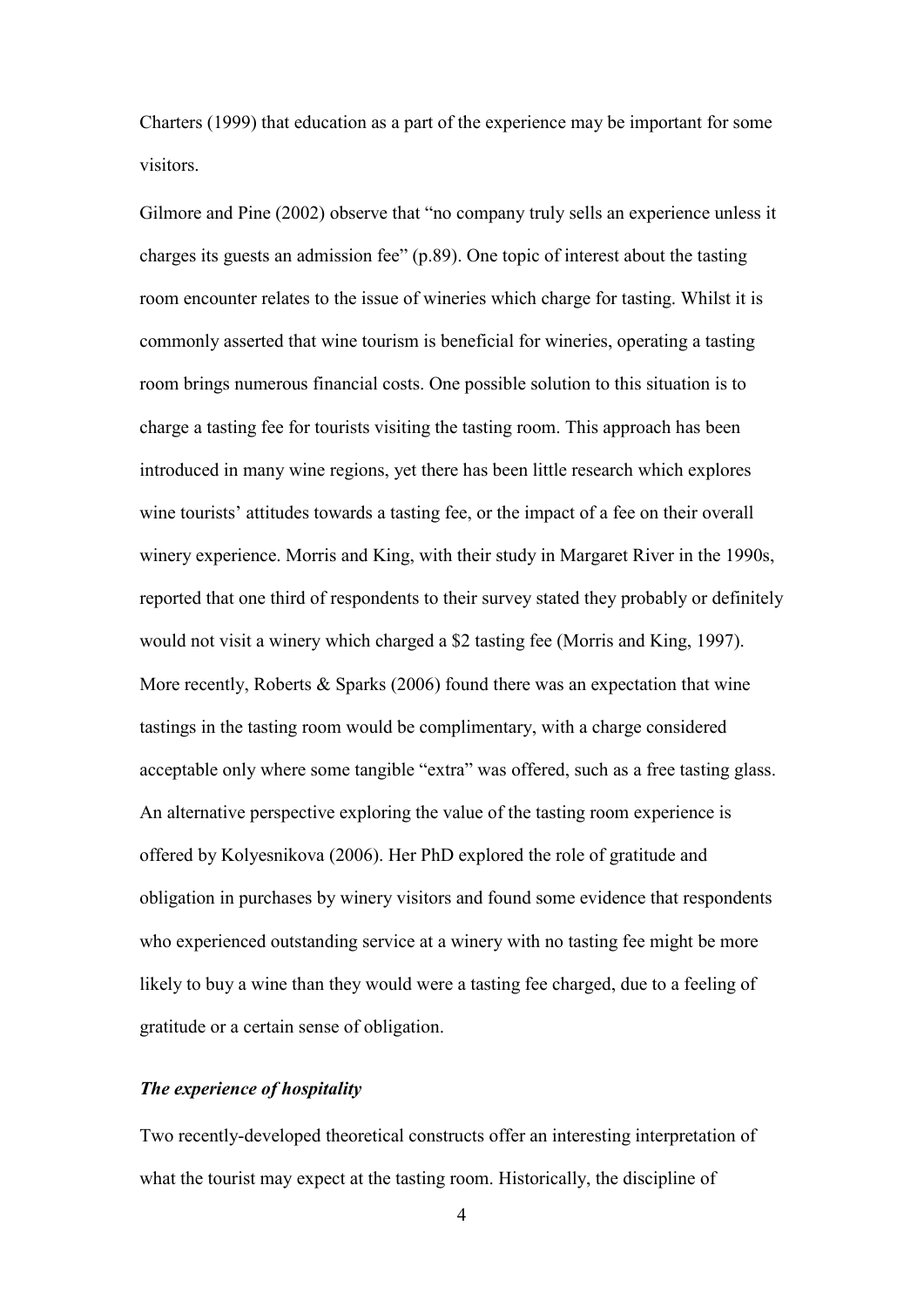Charters (1999) that education as a part of the experience may be important for some visitors.

Gilmore and Pine (2002) observe that "no company truly sells an experience unless it charges its guests an admission fee" (p.89). One topic of interest about the tasting room encounter relates to the issue of wineries which charge for tasting. Whilst it is commonly asserted that wine tourism is beneficial for wineries, operating a tasting room brings numerous financial costs. One possible solution to this situation is to charge a tasting fee for tourists visiting the tasting room. This approach has been introduced in many wine regions, yet there has been little research which explores wine tourists' attitudes towards a tasting fee, or the impact of a fee on their overall winery experience. Morris and King, with their study in Margaret River in the 1990s, reported that one third of respondents to their survey stated they probably or definitely would not visit a winery which charged a \$2 tasting fee (Morris and King, 1997). More recently, Roberts & Sparks (2006) found there was an expectation that wine tastings in the tasting room would be complimentary, with a charge considered acceptable only where some tangible "extra" was offered, such as a free tasting glass. An alternative perspective exploring the value of the tasting room experience is offered by Kolyesnikova (2006). Her PhD explored the role of gratitude and obligation in purchases by winery visitors and found some evidence that respondents who experienced outstanding service at a winery with no tasting fee might be more likely to buy a wine than they would were a tasting fee charged, due to a feeling of gratitude or a certain sense of obligation.

# *The experience of hospitality*

Two recently-developed theoretical constructs offer an interesting interpretation of what the tourist may expect at the tasting room. Historically, the discipline of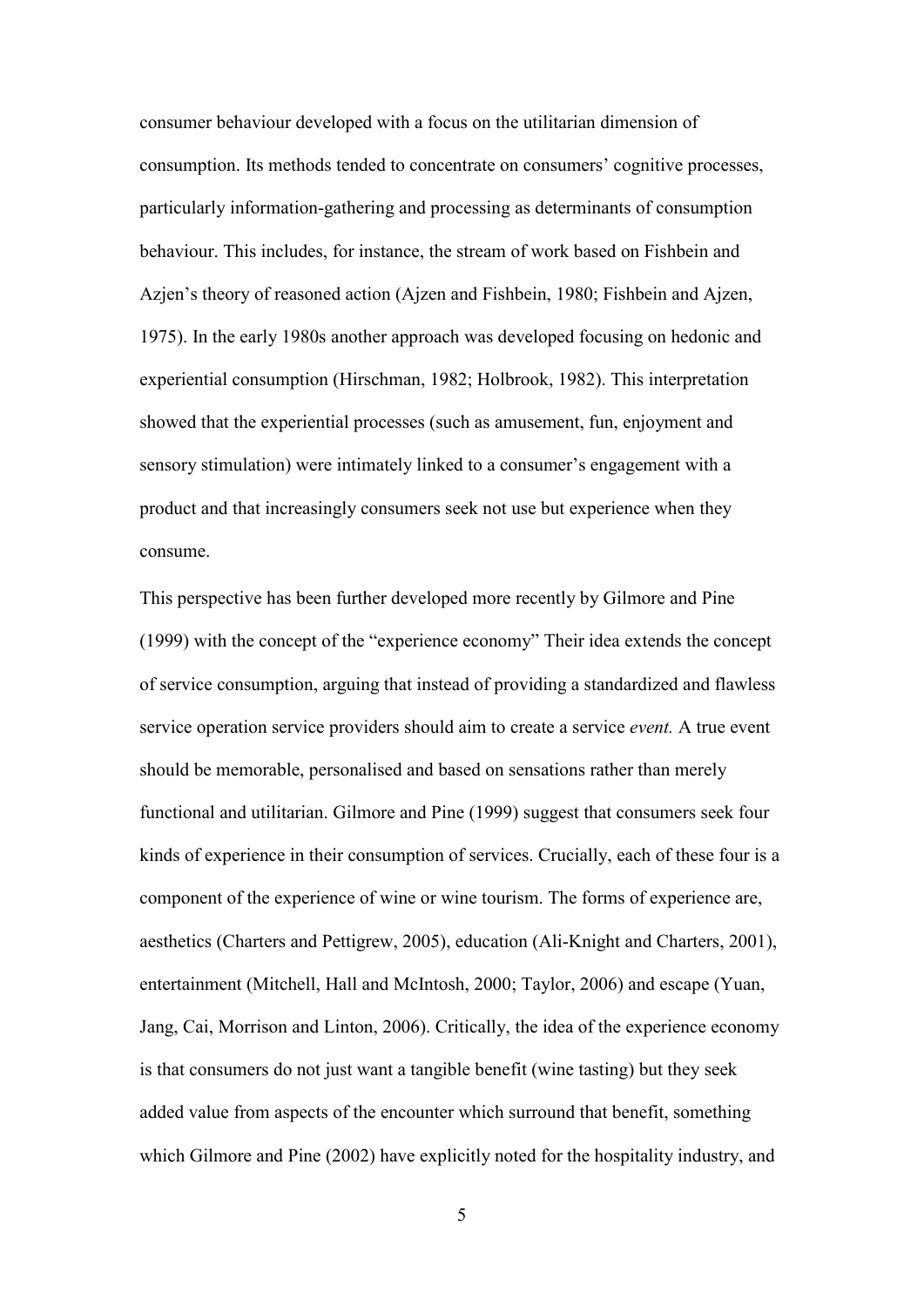consumer behaviour developed with a focus on the utilitarian dimension of consumption. Its methods tended to concentrate on consumers' cognitive processes, particularly information-gathering and processing as determinants of consumption behaviour. This includes, for instance, the stream of work based on Fishbein and Azjen's theory of reasoned action (Ajzen and Fishbein, 1980; Fishbein and Ajzen, 1975). In the early 1980s another approach was developed focusing on hedonic and experiential consumption (Hirschman, 1982; Holbrook, 1982). This interpretation showed that the experiential processes (such as amusement, fun, enjoyment and sensory stimulation) were intimately linked to a consumer's engagement with a product and that increasingly consumers seek not use but experience when they consume.

This perspective has been further developed more recently by Gilmore and Pine (1999) with the concept of the "experience economy" Their idea extends the concept of service consumption, arguing that instead of providing a standardized and flawless service operation service providers should aim to create a service *event.* A true event should be memorable, personalised and based on sensations rather than merely functional and utilitarian. Gilmore and Pine (1999) suggest that consumers seek four kinds of experience in their consumption of services. Crucially, each of these four is a component of the experience of wine or wine tourism. The forms of experience are, aesthetics (Charters and Pettigrew, 2005), education (Ali-Knight and Charters, 2001), entertainment (Mitchell, Hall and McIntosh, 2000; Taylor, 2006) and escape (Yuan, Jang, Cai, Morrison and Linton, 2006). Critically, the idea of the experience economy is that consumers do not just want a tangible benefit (wine tasting) but they seek added value from aspects of the encounter which surround that benefit, something which Gilmore and Pine (2002) have explicitly noted for the hospitality industry, and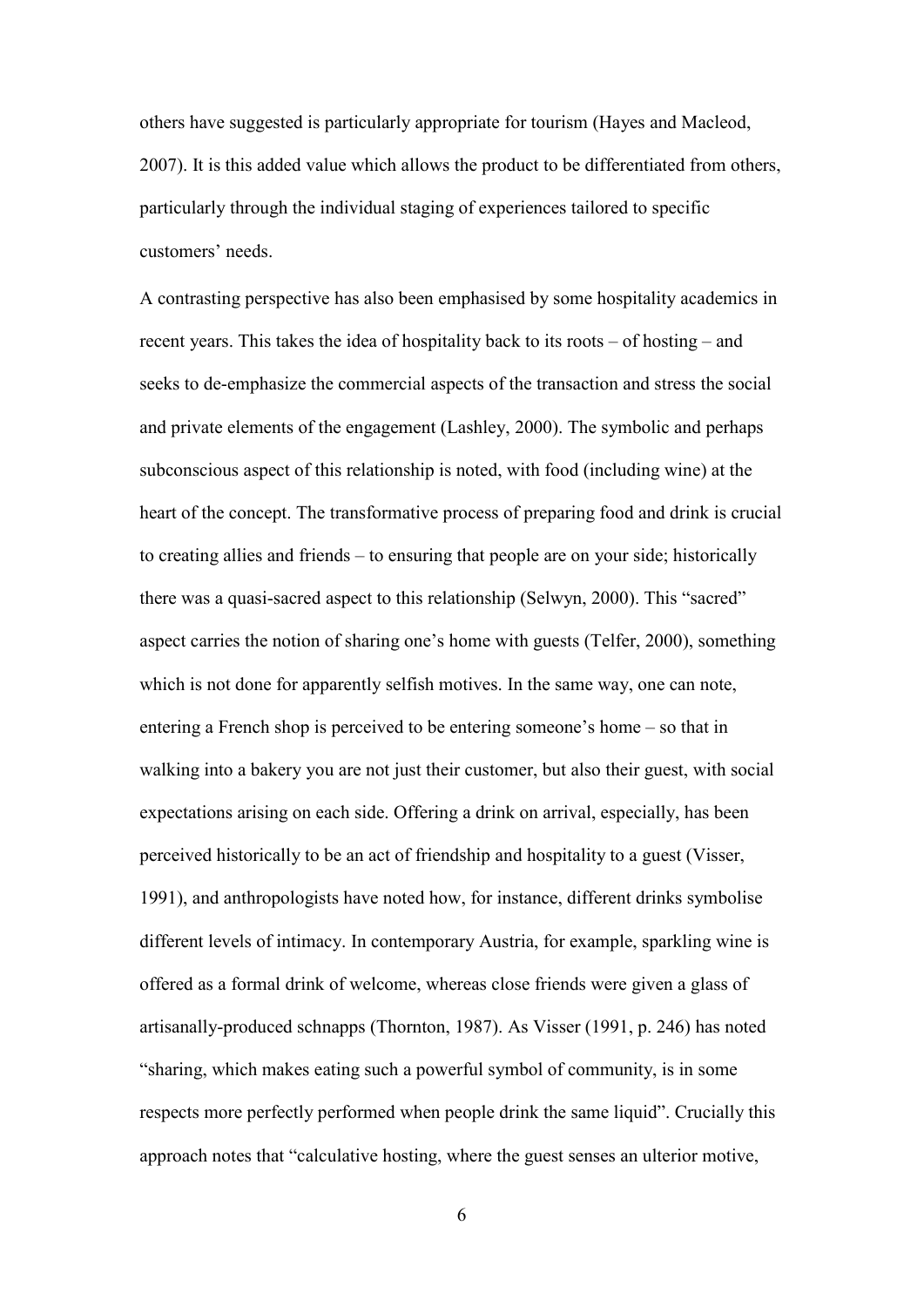others have suggested is particularly appropriate for tourism (Hayes and Macleod, 2007). It is this added value which allows the product to be differentiated from others, particularly through the individual staging of experiences tailored to specific customers' needs.

A contrasting perspective has also been emphasised by some hospitality academics in recent years. This takes the idea of hospitality back to its roots – of hosting – and seeks to de-emphasize the commercial aspects of the transaction and stress the social and private elements of the engagement (Lashley, 2000). The symbolic and perhaps subconscious aspect of this relationship is noted, with food (including wine) at the heart of the concept. The transformative process of preparing food and drink is crucial to creating allies and friends – to ensuring that people are on your side; historically there was a quasi-sacred aspect to this relationship (Selwyn, 2000). This "sacred" aspect carries the notion of sharing one's home with guests (Telfer, 2000), something which is not done for apparently selfish motives. In the same way, one can note, entering a French shop is perceived to be entering someone's home – so that in walking into a bakery you are not just their customer, but also their guest, with social expectations arising on each side. Offering a drink on arrival, especially, has been perceived historically to be an act of friendship and hospitality to a guest (Visser, 1991), and anthropologists have noted how, for instance, different drinks symbolise different levels of intimacy. In contemporary Austria, for example, sparkling wine is offered as a formal drink of welcome, whereas close friends were given a glass of artisanally-produced schnapps (Thornton, 1987). As Visser (1991, p. 246) has noted "sharing, which makes eating such a powerful symbol of community, is in some respects more perfectly performed when people drink the same liquid". Crucially this approach notes that "calculative hosting, where the guest senses an ulterior motive,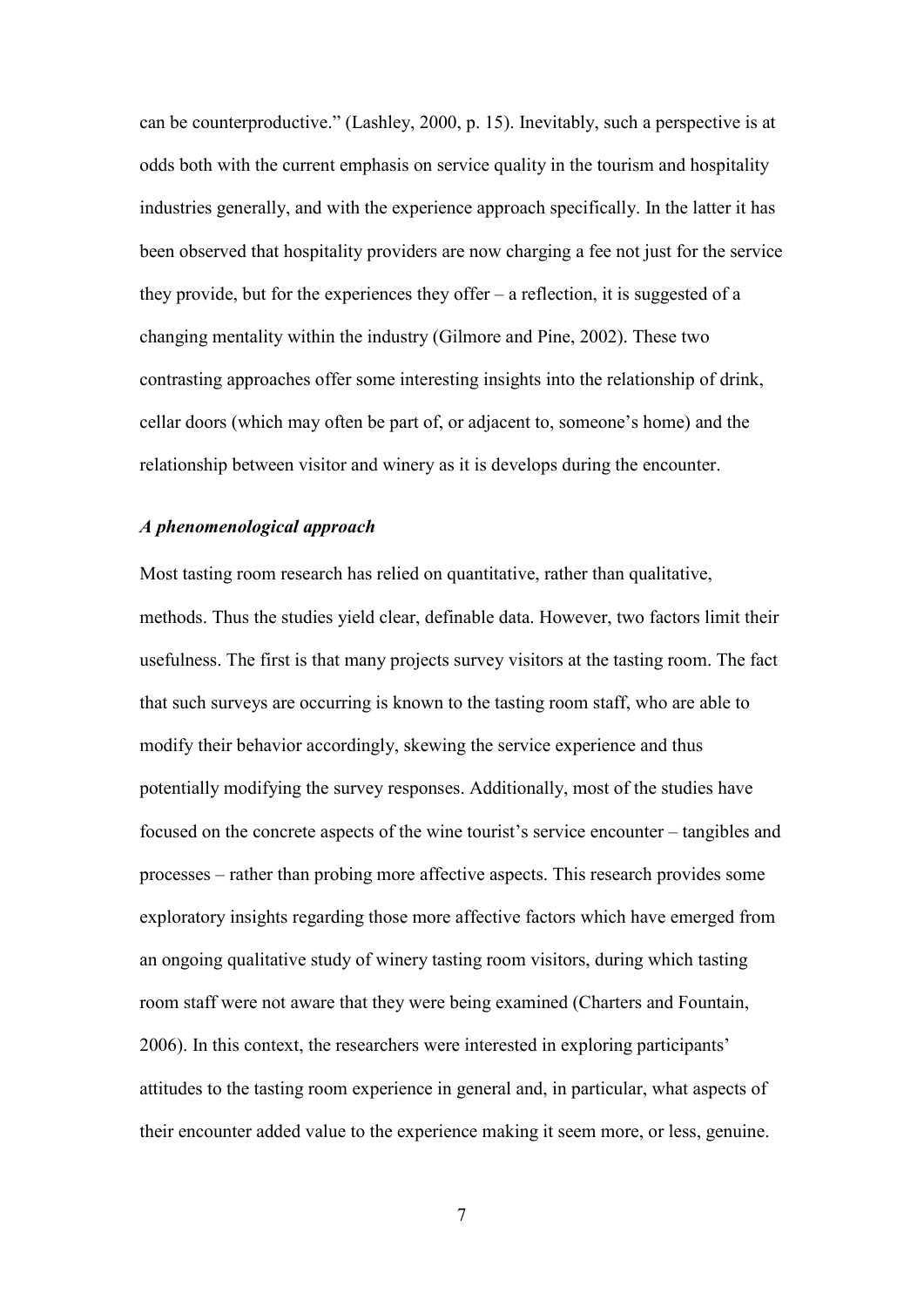can be counterproductive." (Lashley, 2000, p. 15). Inevitably, such a perspective is at odds both with the current emphasis on service quality in the tourism and hospitality industries generally, and with the experience approach specifically. In the latter it has been observed that hospitality providers are now charging a fee not just for the service they provide, but for the experiences they offer – a reflection, it is suggested of a changing mentality within the industry (Gilmore and Pine, 2002). These two contrasting approaches offer some interesting insights into the relationship of drink, cellar doors (which may often be part of, or adjacent to, someone's home) and the relationship between visitor and winery as it is develops during the encounter.

# *A phenomenological approach*

Most tasting room research has relied on quantitative, rather than qualitative, methods. Thus the studies yield clear, definable data. However, two factors limit their usefulness. The first is that many projects survey visitors at the tasting room. The fact that such surveys are occurring is known to the tasting room staff, who are able to modify their behavior accordingly, skewing the service experience and thus potentially modifying the survey responses. Additionally, most of the studies have focused on the concrete aspects of the wine tourist's service encounter – tangibles and processes – rather than probing more affective aspects. This research provides some exploratory insights regarding those more affective factors which have emerged from an ongoing qualitative study of winery tasting room visitors, during which tasting room staff were not aware that they were being examined (Charters and Fountain, 2006). In this context, the researchers were interested in exploring participants' attitudes to the tasting room experience in general and, in particular, what aspects of their encounter added value to the experience making it seem more, or less, genuine.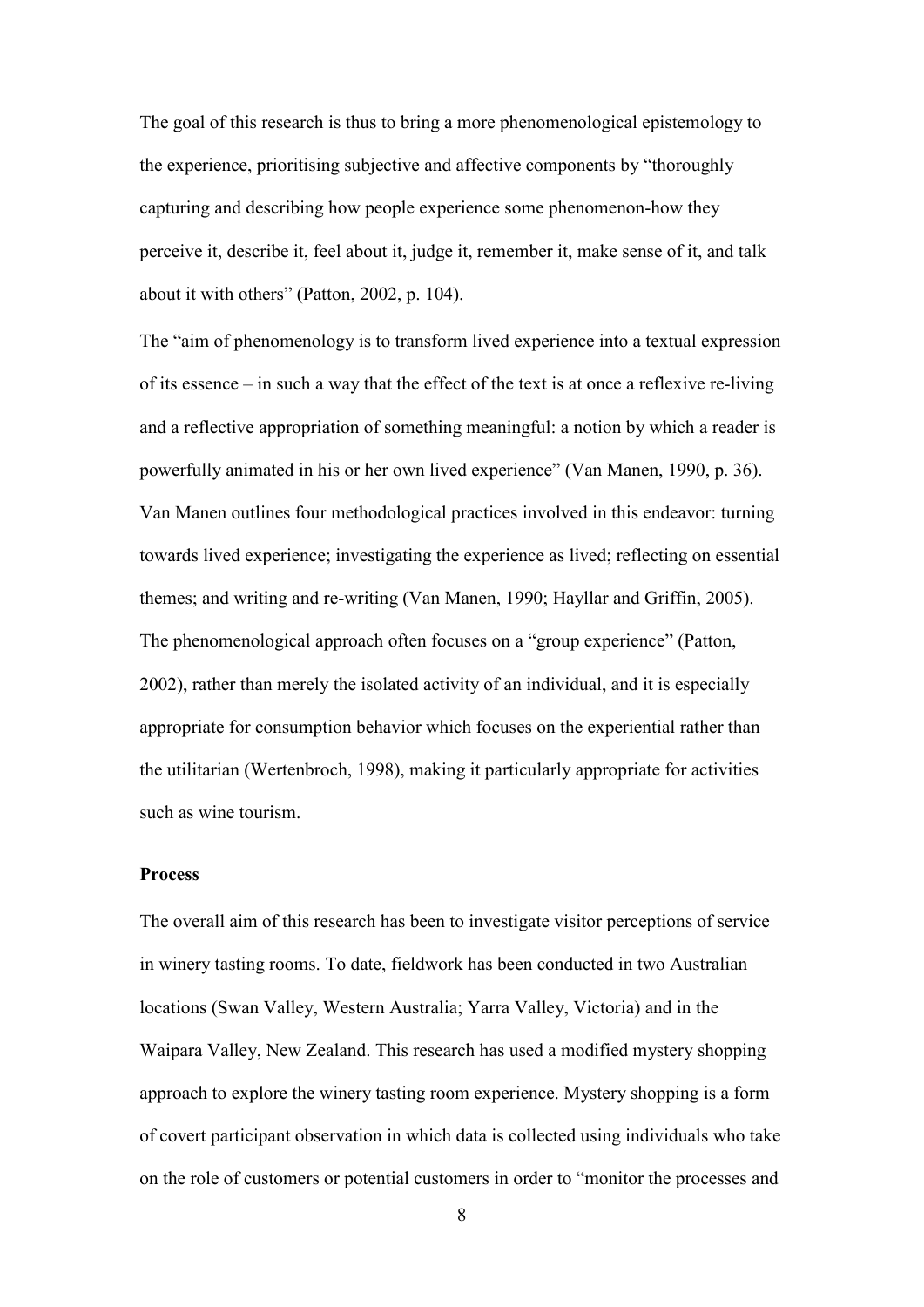The goal of this research is thus to bring a more phenomenological epistemology to the experience, prioritising subjective and affective components by "thoroughly capturing and describing how people experience some phenomenon-how they perceive it, describe it, feel about it, judge it, remember it, make sense of it, and talk about it with others" (Patton, 2002, p. 104).

The "aim of phenomenology is to transform lived experience into a textual expression of its essence – in such a way that the effect of the text is at once a reflexive re-living and a reflective appropriation of something meaningful: a notion by which a reader is powerfully animated in his or her own lived experience" (Van Manen, 1990, p. 36). Van Manen outlines four methodological practices involved in this endeavor: turning towards lived experience; investigating the experience as lived; reflecting on essential themes; and writing and re-writing (Van Manen, 1990; Hayllar and Griffin, 2005). The phenomenological approach often focuses on a "group experience" (Patton, 2002), rather than merely the isolated activity of an individual, and it is especially appropriate for consumption behavior which focuses on the experiential rather than the utilitarian (Wertenbroch, 1998), making it particularly appropriate for activities such as wine tourism.

# **Process**

The overall aim of this research has been to investigate visitor perceptions of service in winery tasting rooms. To date, fieldwork has been conducted in two Australian locations (Swan Valley, Western Australia; Yarra Valley, Victoria) and in the Waipara Valley, New Zealand. This research has used a modified mystery shopping approach to explore the winery tasting room experience. Mystery shopping is a form of covert participant observation in which data is collected using individuals who take on the role of customers or potential customers in order to "monitor the processes and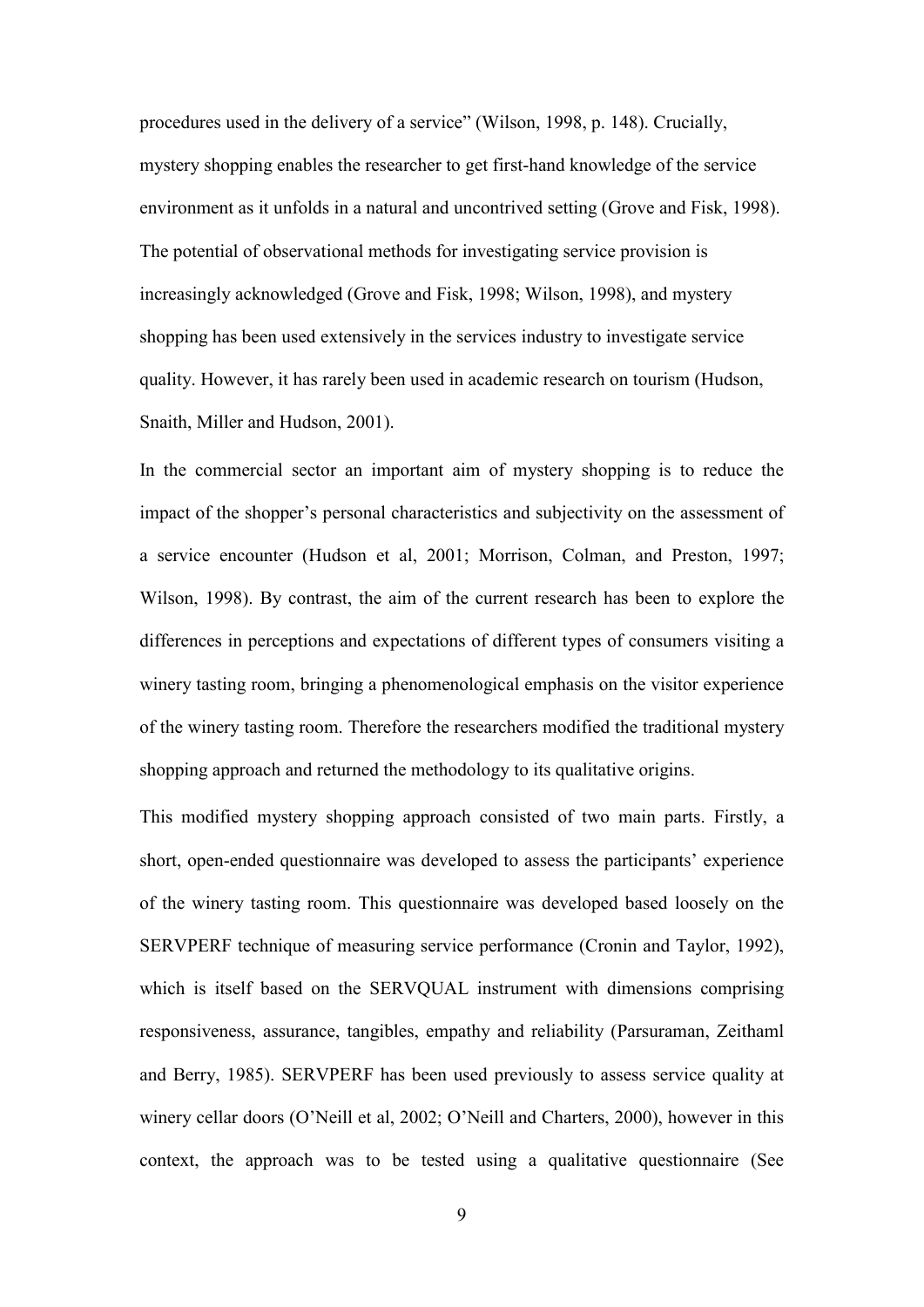procedures used in the delivery of a service" (Wilson, 1998, p. 148). Crucially, mystery shopping enables the researcher to get first-hand knowledge of the service environment as it unfolds in a natural and uncontrived setting (Grove and Fisk, 1998). The potential of observational methods for investigating service provision is increasingly acknowledged (Grove and Fisk, 1998; Wilson, 1998), and mystery shopping has been used extensively in the services industry to investigate service quality. However, it has rarely been used in academic research on tourism (Hudson, Snaith, Miller and Hudson, 2001).

In the commercial sector an important aim of mystery shopping is to reduce the impact of the shopper's personal characteristics and subjectivity on the assessment of a service encounter (Hudson et al, 2001; Morrison, Colman, and Preston, 1997; Wilson, 1998). By contrast, the aim of the current research has been to explore the differences in perceptions and expectations of different types of consumers visiting a winery tasting room, bringing a phenomenological emphasis on the visitor experience of the winery tasting room. Therefore the researchers modified the traditional mystery shopping approach and returned the methodology to its qualitative origins.

This modified mystery shopping approach consisted of two main parts. Firstly, a short, open-ended questionnaire was developed to assess the participants' experience of the winery tasting room. This questionnaire was developed based loosely on the SERVPERF technique of measuring service performance (Cronin and Taylor, 1992), which is itself based on the SERVQUAL instrument with dimensions comprising responsiveness, assurance, tangibles, empathy and reliability (Parsuraman, Zeithaml and Berry, 1985). SERVPERF has been used previously to assess service quality at winery cellar doors (O'Neill et al, 2002; O'Neill and Charters, 2000), however in this context, the approach was to be tested using a qualitative questionnaire (See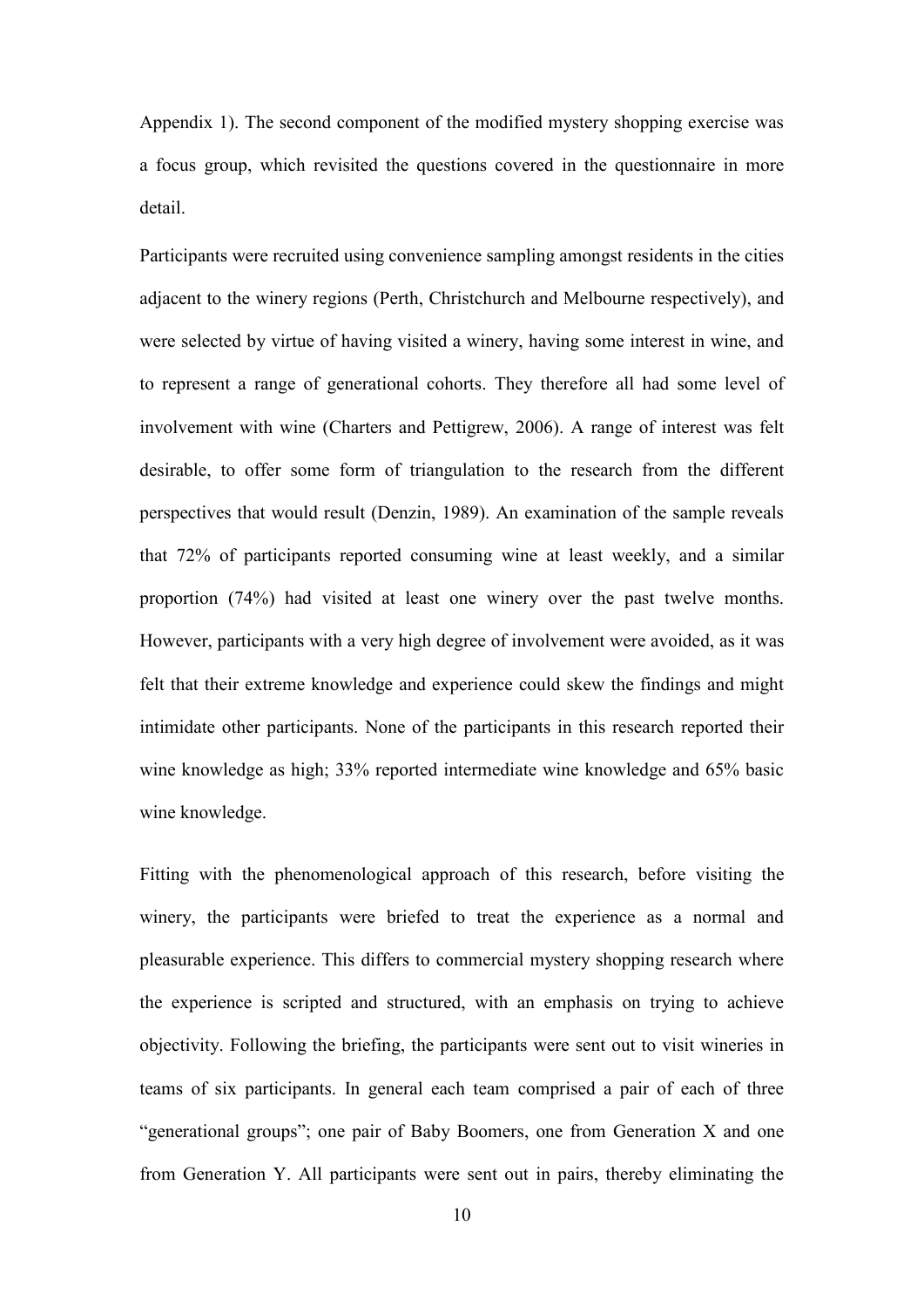Appendix 1). The second component of the modified mystery shopping exercise was a focus group, which revisited the questions covered in the questionnaire in more detail.

Participants were recruited using convenience sampling amongst residents in the cities adjacent to the winery regions (Perth, Christchurch and Melbourne respectively), and were selected by virtue of having visited a winery, having some interest in wine, and to represent a range of generational cohorts. They therefore all had some level of involvement with wine (Charters and Pettigrew, 2006). A range of interest was felt desirable, to offer some form of triangulation to the research from the different perspectives that would result (Denzin, 1989). An examination of the sample reveals that 72% of participants reported consuming wine at least weekly, and a similar proportion (74%) had visited at least one winery over the past twelve months. However, participants with a very high degree of involvement were avoided, as it was felt that their extreme knowledge and experience could skew the findings and might intimidate other participants. None of the participants in this research reported their wine knowledge as high; 33% reported intermediate wine knowledge and 65% basic wine knowledge.

Fitting with the phenomenological approach of this research, before visiting the winery, the participants were briefed to treat the experience as a normal and pleasurable experience. This differs to commercial mystery shopping research where the experience is scripted and structured, with an emphasis on trying to achieve objectivity. Following the briefing, the participants were sent out to visit wineries in teams of six participants. In general each team comprised a pair of each of three "generational groups"; one pair of Baby Boomers, one from Generation X and one from Generation Y. All participants were sent out in pairs, thereby eliminating the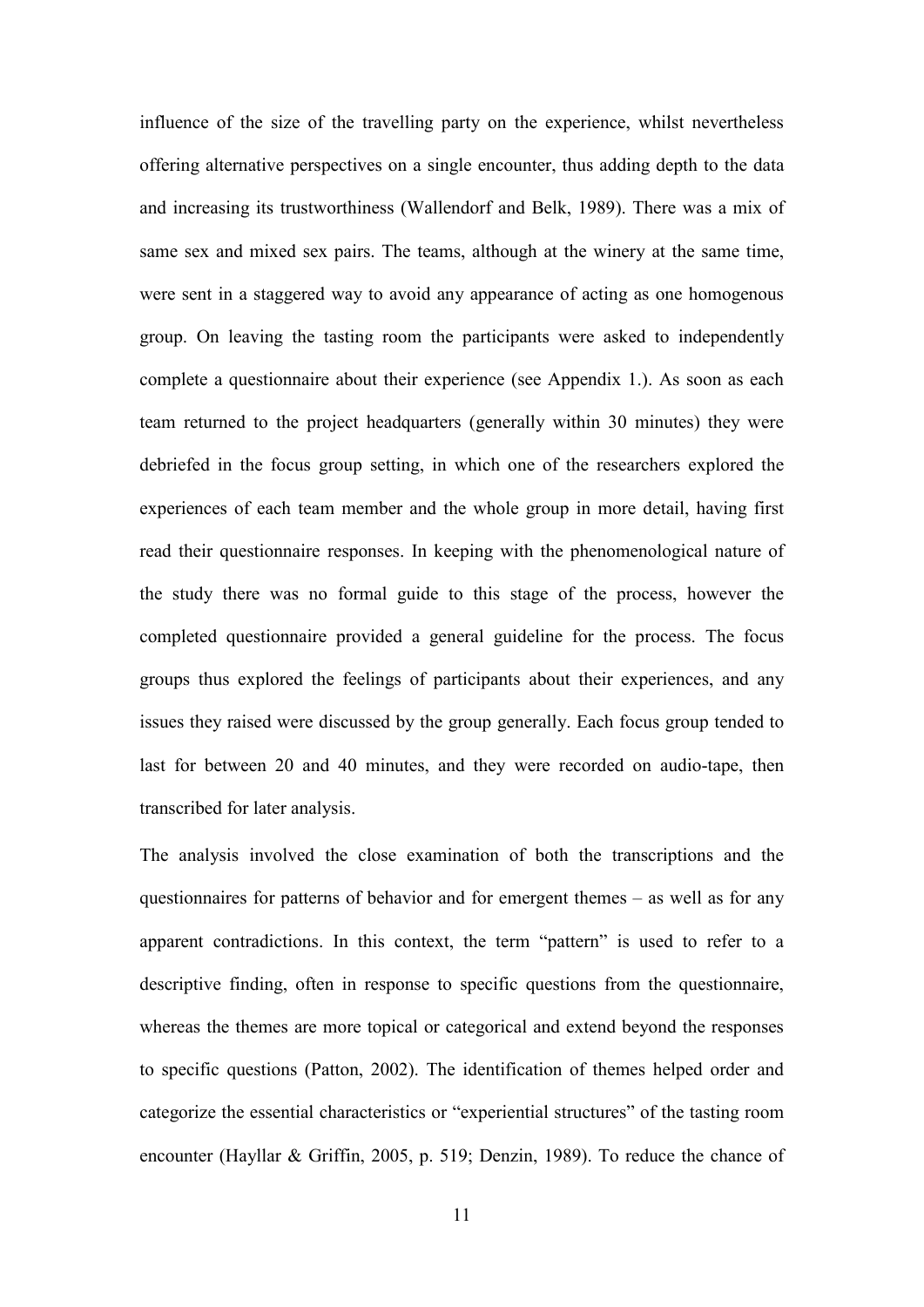influence of the size of the travelling party on the experience, whilst nevertheless offering alternative perspectives on a single encounter, thus adding depth to the data and increasing its trustworthiness (Wallendorf and Belk, 1989). There was a mix of same sex and mixed sex pairs. The teams, although at the winery at the same time, were sent in a staggered way to avoid any appearance of acting as one homogenous group. On leaving the tasting room the participants were asked to independently complete a questionnaire about their experience (see Appendix 1.). As soon as each team returned to the project headquarters (generally within 30 minutes) they were debriefed in the focus group setting, in which one of the researchers explored the experiences of each team member and the whole group in more detail, having first read their questionnaire responses. In keeping with the phenomenological nature of the study there was no formal guide to this stage of the process, however the completed questionnaire provided a general guideline for the process. The focus groups thus explored the feelings of participants about their experiences, and any issues they raised were discussed by the group generally. Each focus group tended to last for between 20 and 40 minutes, and they were recorded on audio-tape, then transcribed for later analysis.

The analysis involved the close examination of both the transcriptions and the questionnaires for patterns of behavior and for emergent themes – as well as for any apparent contradictions. In this context, the term "pattern" is used to refer to a descriptive finding, often in response to specific questions from the questionnaire, whereas the themes are more topical or categorical and extend beyond the responses to specific questions (Patton, 2002). The identification of themes helped order and categorize the essential characteristics or "experiential structures" of the tasting room encounter (Hayllar & Griffin, 2005, p. 519; Denzin, 1989). To reduce the chance of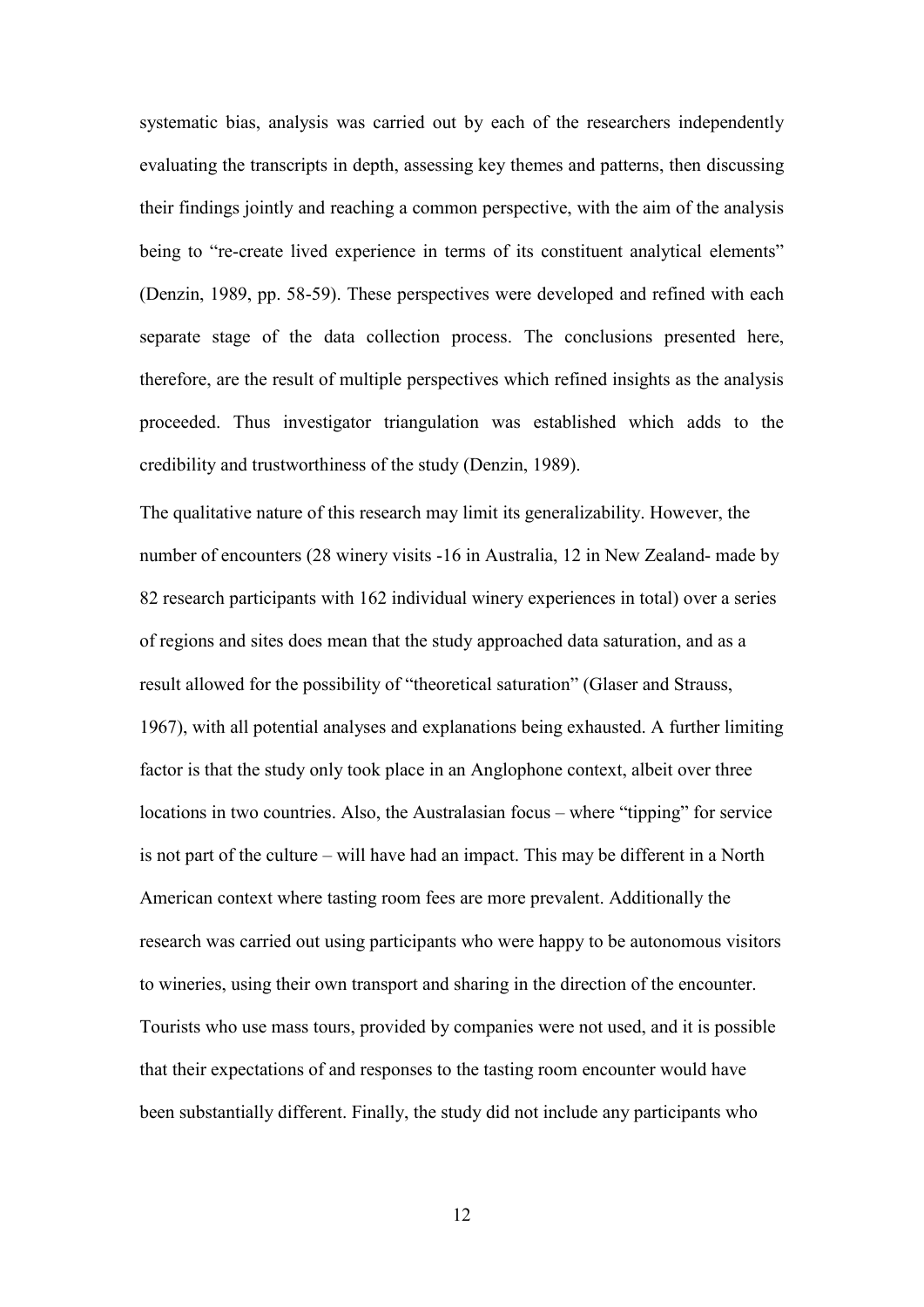systematic bias, analysis was carried out by each of the researchers independently evaluating the transcripts in depth, assessing key themes and patterns, then discussing their findings jointly and reaching a common perspective, with the aim of the analysis being to "re-create lived experience in terms of its constituent analytical elements" (Denzin, 1989, pp. 58-59). These perspectives were developed and refined with each separate stage of the data collection process. The conclusions presented here, therefore, are the result of multiple perspectives which refined insights as the analysis proceeded. Thus investigator triangulation was established which adds to the credibility and trustworthiness of the study (Denzin, 1989).

The qualitative nature of this research may limit its generalizability. However, the number of encounters (28 winery visits -16 in Australia, 12 in New Zealand- made by 82 research participants with 162 individual winery experiences in total) over a series of regions and sites does mean that the study approached data saturation, and as a result allowed for the possibility of "theoretical saturation" (Glaser and Strauss, 1967), with all potential analyses and explanations being exhausted. A further limiting factor is that the study only took place in an Anglophone context, albeit over three locations in two countries. Also, the Australasian focus – where "tipping" for service is not part of the culture – will have had an impact. This may be different in a North American context where tasting room fees are more prevalent. Additionally the research was carried out using participants who were happy to be autonomous visitors to wineries, using their own transport and sharing in the direction of the encounter. Tourists who use mass tours, provided by companies were not used, and it is possible that their expectations of and responses to the tasting room encounter would have been substantially different. Finally, the study did not include any participants who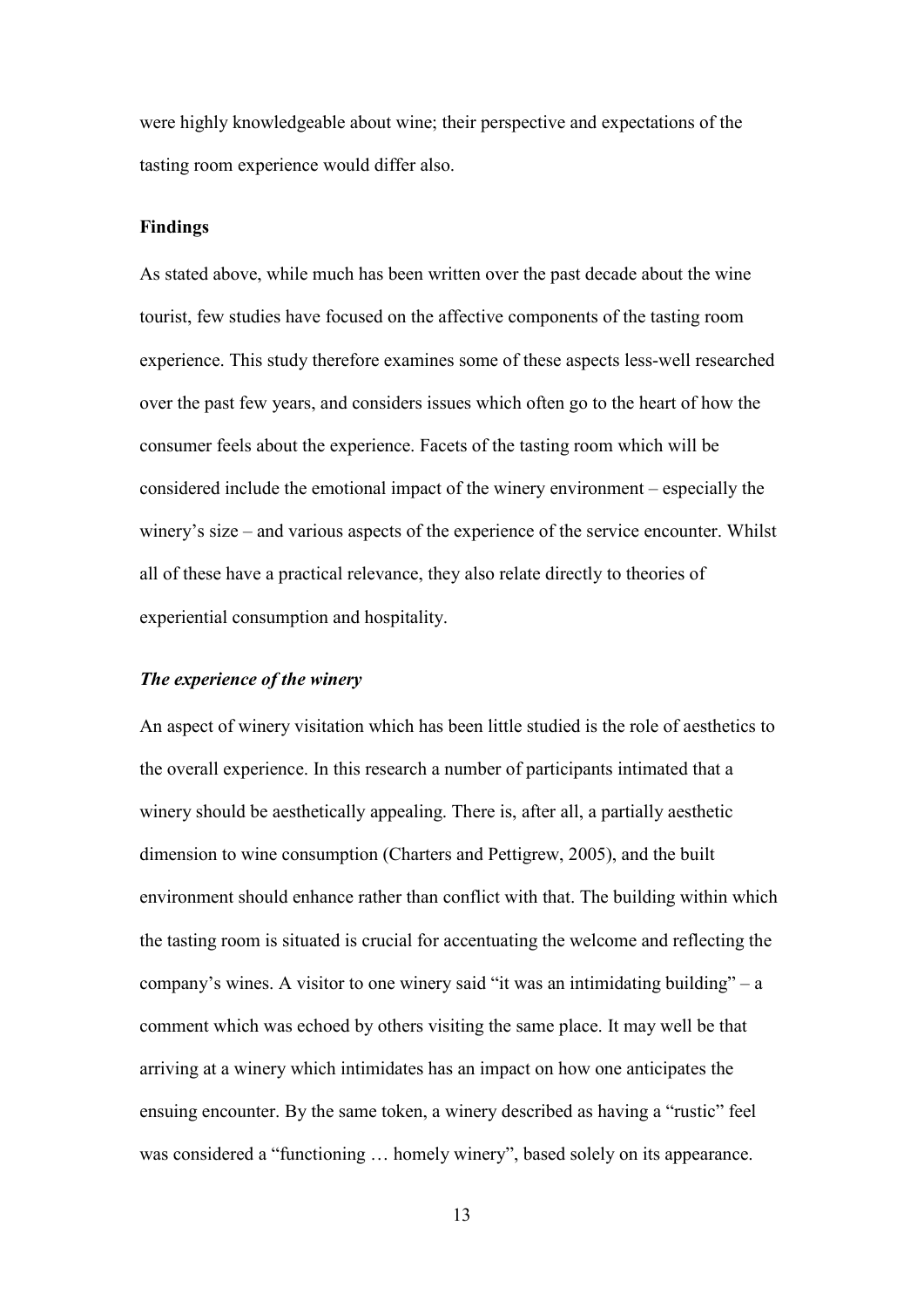were highly knowledgeable about wine; their perspective and expectations of the tasting room experience would differ also.

#### **Findings**

As stated above, while much has been written over the past decade about the wine tourist, few studies have focused on the affective components of the tasting room experience. This study therefore examines some of these aspects less-well researched over the past few years, and considers issues which often go to the heart of how the consumer feels about the experience. Facets of the tasting room which will be considered include the emotional impact of the winery environment – especially the winery's size – and various aspects of the experience of the service encounter. Whilst all of these have a practical relevance, they also relate directly to theories of experiential consumption and hospitality.

# *The experience of the winery*

An aspect of winery visitation which has been little studied is the role of aesthetics to the overall experience. In this research a number of participants intimated that a winery should be aesthetically appealing. There is, after all, a partially aesthetic dimension to wine consumption (Charters and Pettigrew, 2005), and the built environment should enhance rather than conflict with that. The building within which the tasting room is situated is crucial for accentuating the welcome and reflecting the company's wines. A visitor to one winery said "it was an intimidating building" – a comment which was echoed by others visiting the same place. It may well be that arriving at a winery which intimidates has an impact on how one anticipates the ensuing encounter. By the same token, a winery described as having a "rustic" feel was considered a "functioning … homely winery", based solely on its appearance.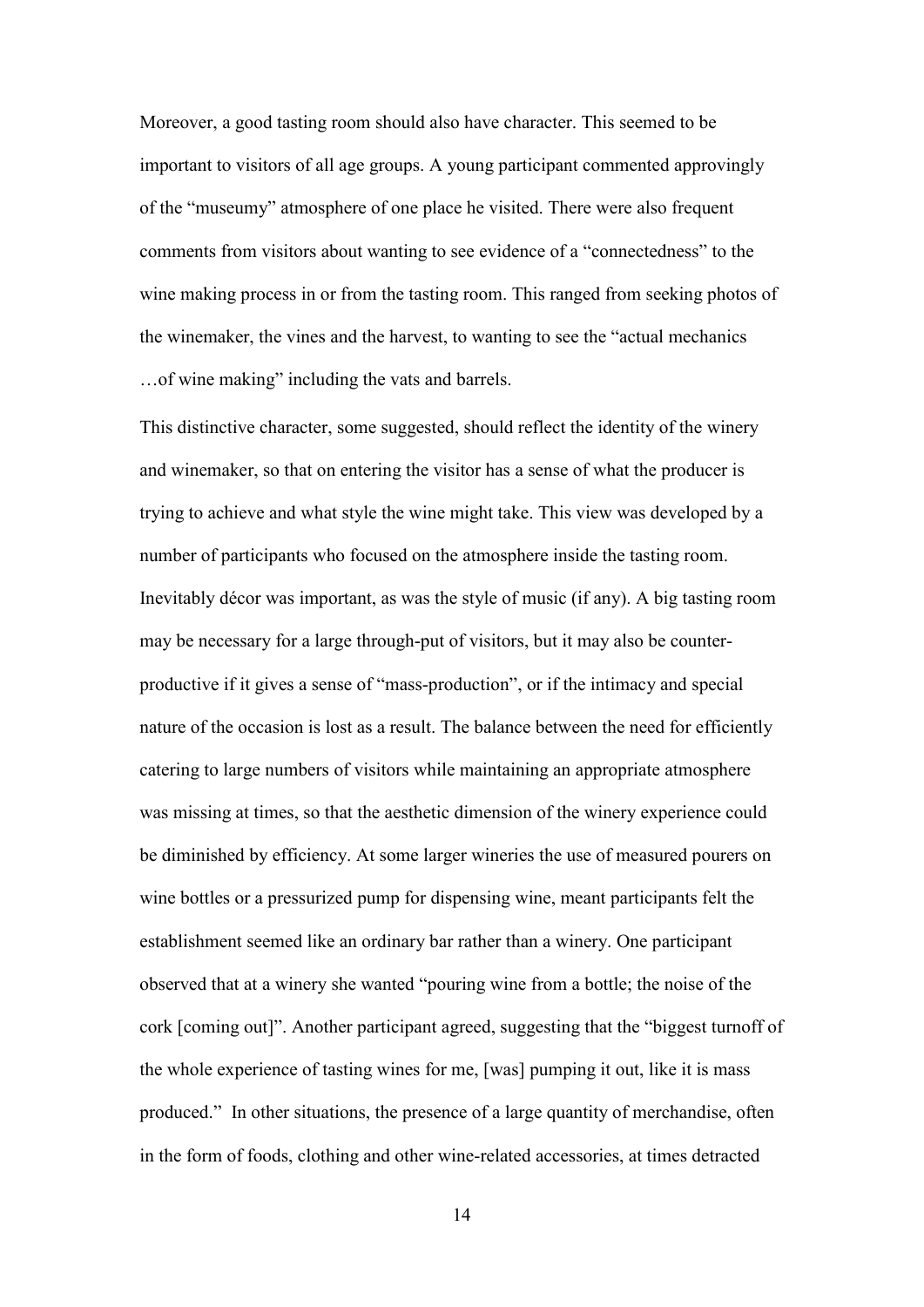Moreover, a good tasting room should also have character. This seemed to be important to visitors of all age groups. A young participant commented approvingly of the "museumy" atmosphere of one place he visited. There were also frequent comments from visitors about wanting to see evidence of a "connectedness" to the wine making process in or from the tasting room. This ranged from seeking photos of the winemaker, the vines and the harvest, to wanting to see the "actual mechanics …of wine making" including the vats and barrels.

This distinctive character, some suggested, should reflect the identity of the winery and winemaker, so that on entering the visitor has a sense of what the producer is trying to achieve and what style the wine might take. This view was developed by a number of participants who focused on the atmosphere inside the tasting room. Inevitably décor was important, as was the style of music (if any). A big tasting room may be necessary for a large through-put of visitors, but it may also be counterproductive if it gives a sense of "mass-production", or if the intimacy and special nature of the occasion is lost as a result. The balance between the need for efficiently catering to large numbers of visitors while maintaining an appropriate atmosphere was missing at times, so that the aesthetic dimension of the winery experience could be diminished by efficiency. At some larger wineries the use of measured pourers on wine bottles or a pressurized pump for dispensing wine, meant participants felt the establishment seemed like an ordinary bar rather than a winery. One participant observed that at a winery she wanted "pouring wine from a bottle; the noise of the cork [coming out]". Another participant agreed, suggesting that the "biggest turnoff of the whole experience of tasting wines for me, [was] pumping it out, like it is mass produced." In other situations, the presence of a large quantity of merchandise, often in the form of foods, clothing and other wine-related accessories, at times detracted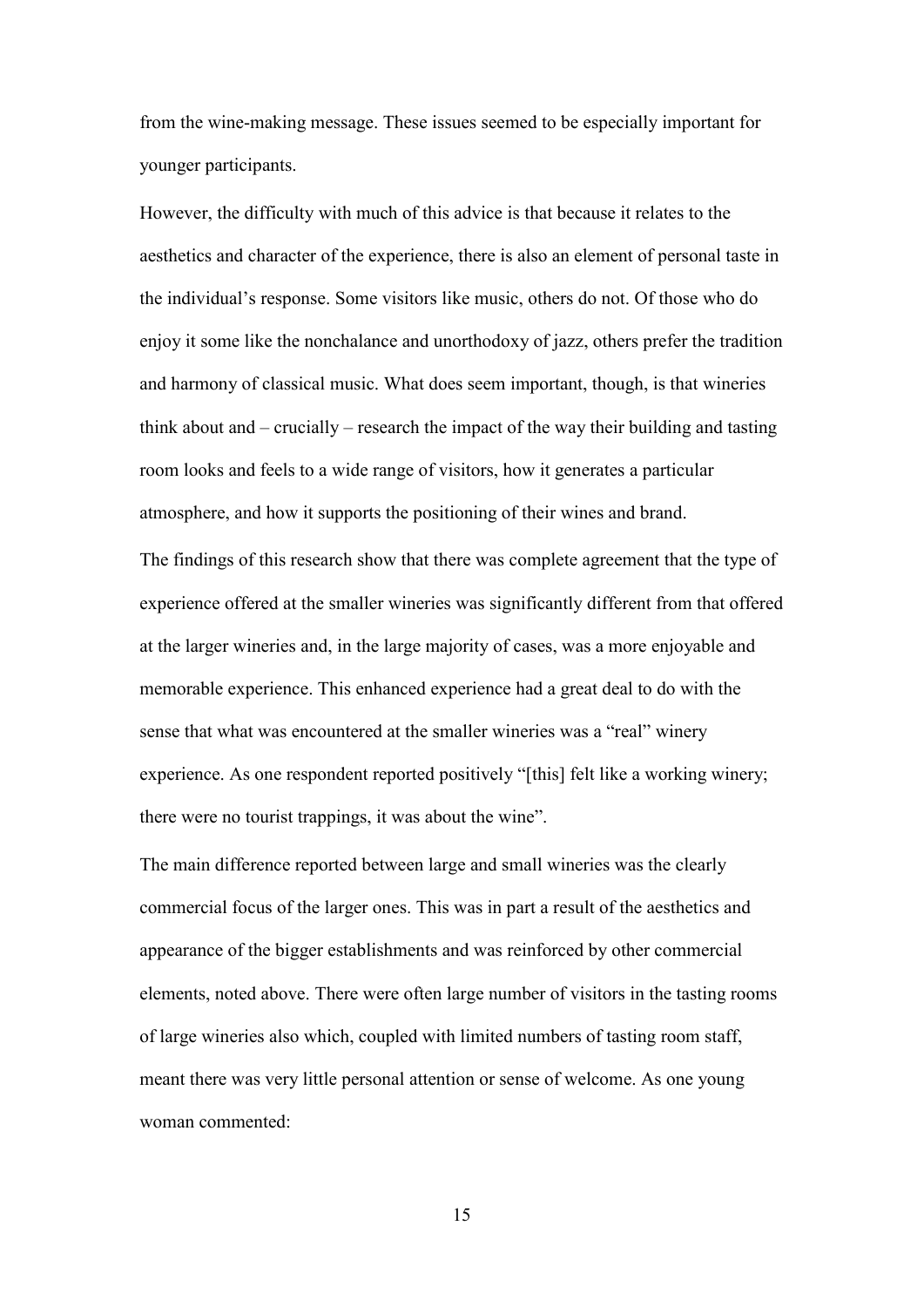from the wine-making message. These issues seemed to be especially important for younger participants.

However, the difficulty with much of this advice is that because it relates to the aesthetics and character of the experience, there is also an element of personal taste in the individual's response. Some visitors like music, others do not. Of those who do enjoy it some like the nonchalance and unorthodoxy of jazz, others prefer the tradition and harmony of classical music. What does seem important, though, is that wineries think about and – crucially – research the impact of the way their building and tasting room looks and feels to a wide range of visitors, how it generates a particular atmosphere, and how it supports the positioning of their wines and brand.

The findings of this research show that there was complete agreement that the type of experience offered at the smaller wineries was significantly different from that offered at the larger wineries and, in the large majority of cases, was a more enjoyable and memorable experience. This enhanced experience had a great deal to do with the sense that what was encountered at the smaller wineries was a "real" winery experience. As one respondent reported positively "[this] felt like a working winery; there were no tourist trappings, it was about the wine".

The main difference reported between large and small wineries was the clearly commercial focus of the larger ones. This was in part a result of the aesthetics and appearance of the bigger establishments and was reinforced by other commercial elements, noted above. There were often large number of visitors in the tasting rooms of large wineries also which, coupled with limited numbers of tasting room staff, meant there was very little personal attention or sense of welcome. As one young woman commented: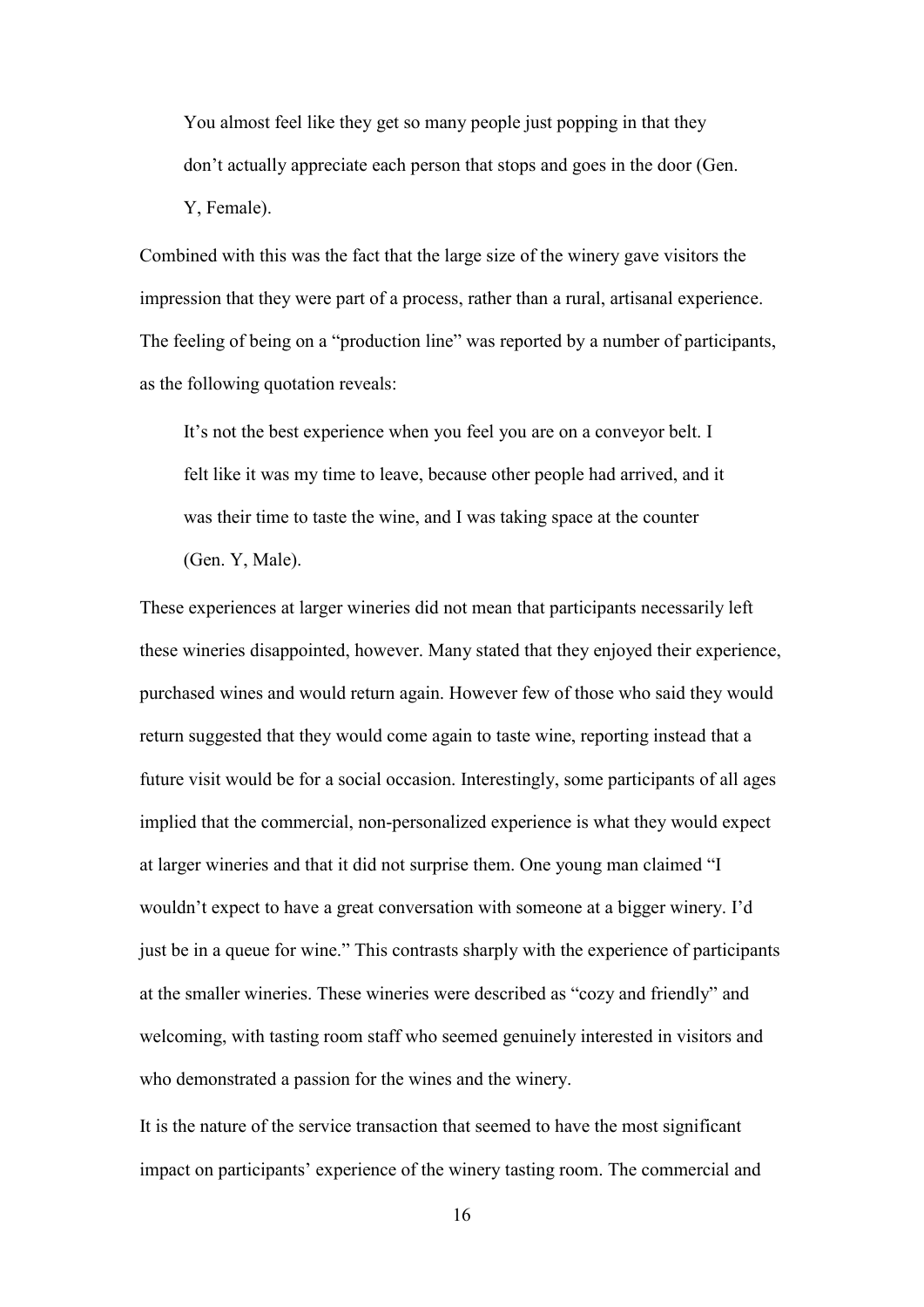You almost feel like they get so many people just popping in that they don't actually appreciate each person that stops and goes in the door (Gen. Y, Female).

Combined with this was the fact that the large size of the winery gave visitors the impression that they were part of a process, rather than a rural, artisanal experience. The feeling of being on a "production line" was reported by a number of participants, as the following quotation reveals:

It's not the best experience when you feel you are on a conveyor belt. I felt like it was my time to leave, because other people had arrived, and it was their time to taste the wine, and I was taking space at the counter (Gen. Y, Male).

These experiences at larger wineries did not mean that participants necessarily left these wineries disappointed, however. Many stated that they enjoyed their experience, purchased wines and would return again. However few of those who said they would return suggested that they would come again to taste wine, reporting instead that a future visit would be for a social occasion. Interestingly, some participants of all ages implied that the commercial, non-personalized experience is what they would expect at larger wineries and that it did not surprise them. One young man claimed "I wouldn't expect to have a great conversation with someone at a bigger winery. I'd just be in a queue for wine." This contrasts sharply with the experience of participants at the smaller wineries. These wineries were described as "cozy and friendly" and welcoming, with tasting room staff who seemed genuinely interested in visitors and who demonstrated a passion for the wines and the winery.

It is the nature of the service transaction that seemed to have the most significant impact on participants' experience of the winery tasting room. The commercial and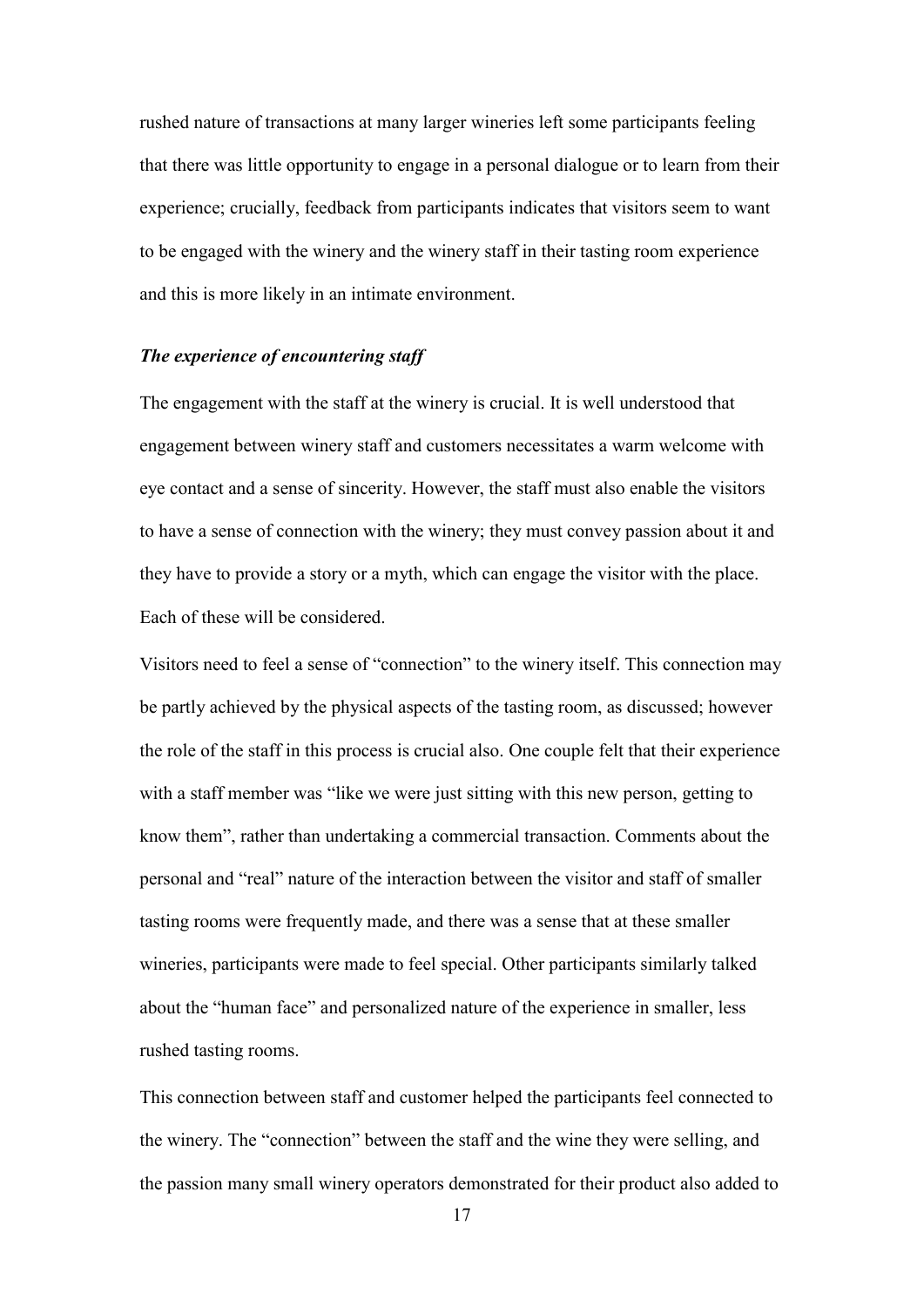rushed nature of transactions at many larger wineries left some participants feeling that there was little opportunity to engage in a personal dialogue or to learn from their experience; crucially, feedback from participants indicates that visitors seem to want to be engaged with the winery and the winery staff in their tasting room experience and this is more likely in an intimate environment.

#### *The experience of encountering staff*

The engagement with the staff at the winery is crucial. It is well understood that engagement between winery staff and customers necessitates a warm welcome with eye contact and a sense of sincerity. However, the staff must also enable the visitors to have a sense of connection with the winery; they must convey passion about it and they have to provide a story or a myth, which can engage the visitor with the place. Each of these will be considered.

Visitors need to feel a sense of "connection" to the winery itself. This connection may be partly achieved by the physical aspects of the tasting room, as discussed; however the role of the staff in this process is crucial also. One couple felt that their experience with a staff member was "like we were just sitting with this new person, getting to know them", rather than undertaking a commercial transaction. Comments about the personal and "real" nature of the interaction between the visitor and staff of smaller tasting rooms were frequently made, and there was a sense that at these smaller wineries, participants were made to feel special. Other participants similarly talked about the "human face" and personalized nature of the experience in smaller, less rushed tasting rooms.

This connection between staff and customer helped the participants feel connected to the winery. The "connection" between the staff and the wine they were selling, and the passion many small winery operators demonstrated for their product also added to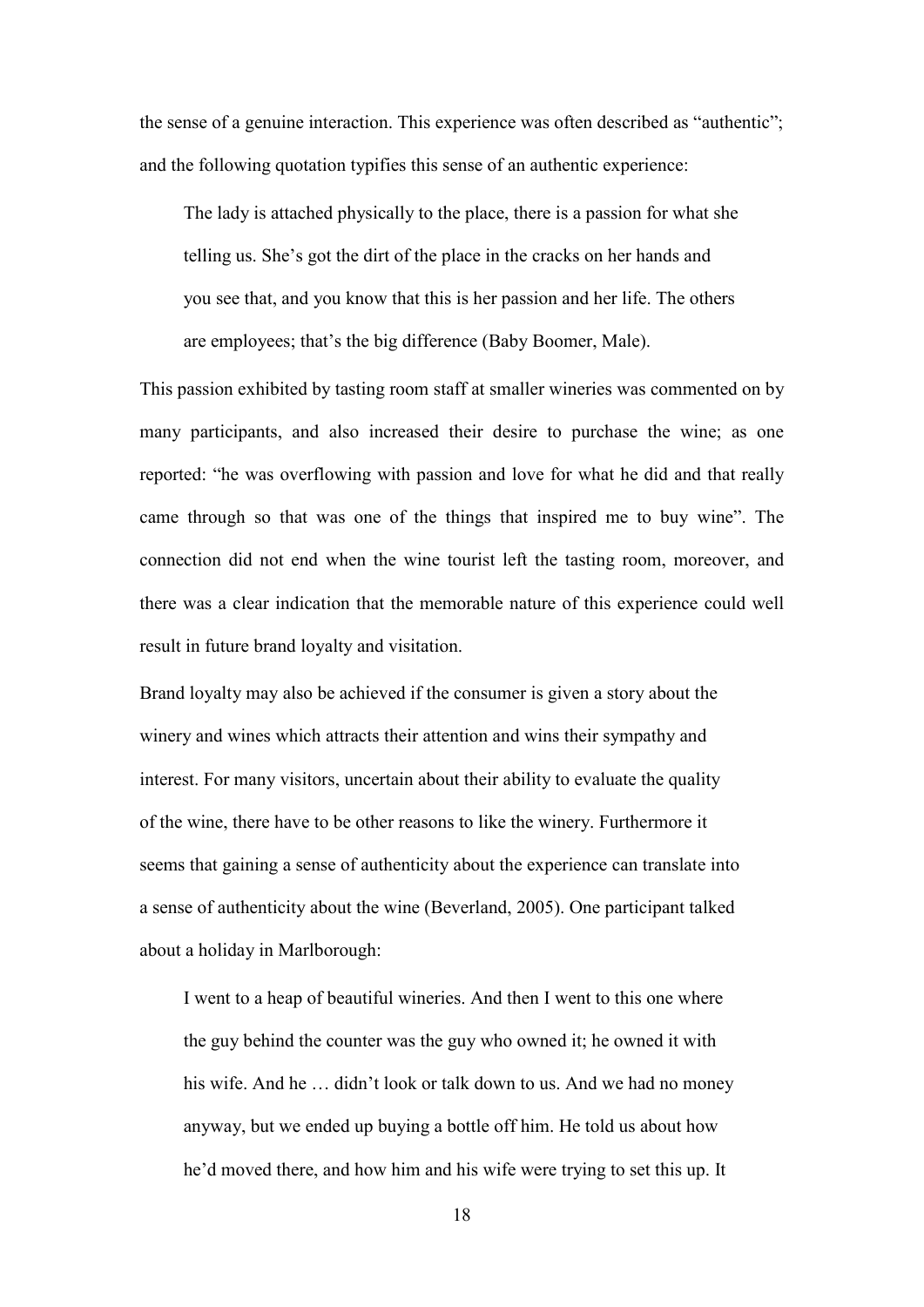the sense of a genuine interaction. This experience was often described as "authentic"; and the following quotation typifies this sense of an authentic experience:

The lady is attached physically to the place, there is a passion for what she telling us. She's got the dirt of the place in the cracks on her hands and you see that, and you know that this is her passion and her life. The others are employees; that's the big difference (Baby Boomer, Male).

This passion exhibited by tasting room staff at smaller wineries was commented on by many participants, and also increased their desire to purchase the wine; as one reported: "he was overflowing with passion and love for what he did and that really came through so that was one of the things that inspired me to buy wine". The connection did not end when the wine tourist left the tasting room, moreover, and there was a clear indication that the memorable nature of this experience could well result in future brand loyalty and visitation.

Brand loyalty may also be achieved if the consumer is given a story about the winery and wines which attracts their attention and wins their sympathy and interest. For many visitors, uncertain about their ability to evaluate the quality of the wine, there have to be other reasons to like the winery. Furthermore it seems that gaining a sense of authenticity about the experience can translate into a sense of authenticity about the wine (Beverland, 2005). One participant talked about a holiday in Marlborough:

I went to a heap of beautiful wineries. And then I went to this one where the guy behind the counter was the guy who owned it; he owned it with his wife. And he ... didn't look or talk down to us. And we had no money anyway, but we ended up buying a bottle off him. He told us about how he'd moved there, and how him and his wife were trying to set this up. It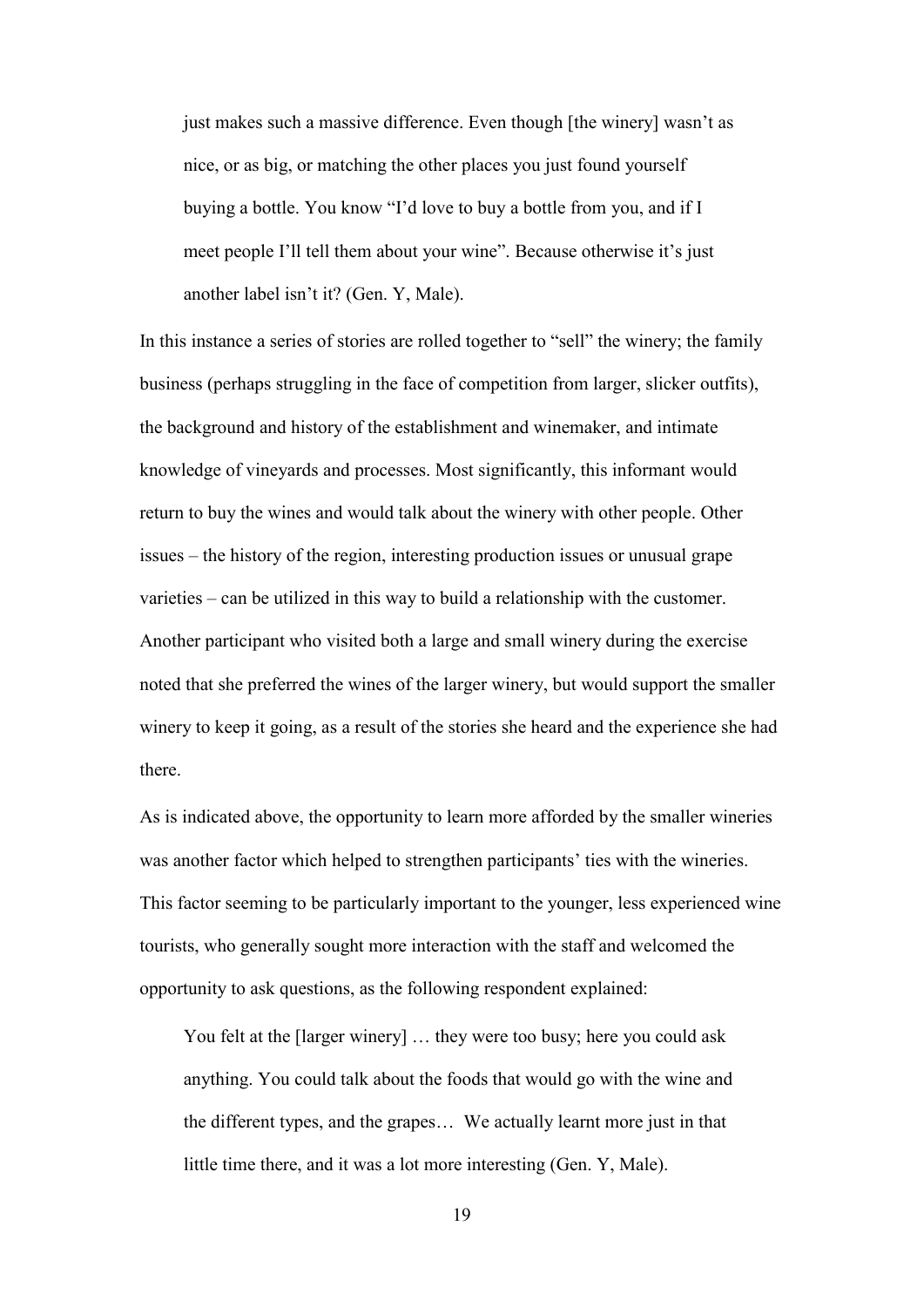just makes such a massive difference. Even though [the winery] wasn't as nice, or as big, or matching the other places you just found yourself buying a bottle. You know "I'd love to buy a bottle from you, and if I meet people I'll tell them about your wine". Because otherwise it's just another label isn't it? (Gen. Y, Male).

In this instance a series of stories are rolled together to "sell" the winery; the family business (perhaps struggling in the face of competition from larger, slicker outfits), the background and history of the establishment and winemaker, and intimate knowledge of vineyards and processes. Most significantly, this informant would return to buy the wines and would talk about the winery with other people. Other issues – the history of the region, interesting production issues or unusual grape varieties – can be utilized in this way to build a relationship with the customer. Another participant who visited both a large and small winery during the exercise noted that she preferred the wines of the larger winery, but would support the smaller winery to keep it going, as a result of the stories she heard and the experience she had there.

As is indicated above, the opportunity to learn more afforded by the smaller wineries was another factor which helped to strengthen participants' ties with the wineries. This factor seeming to be particularly important to the younger, less experienced wine tourists, who generally sought more interaction with the staff and welcomed the opportunity to ask questions, as the following respondent explained:

You felt at the [larger winery] … they were too busy; here you could ask anything. You could talk about the foods that would go with the wine and the different types, and the grapes… We actually learnt more just in that little time there, and it was a lot more interesting (Gen. Y, Male).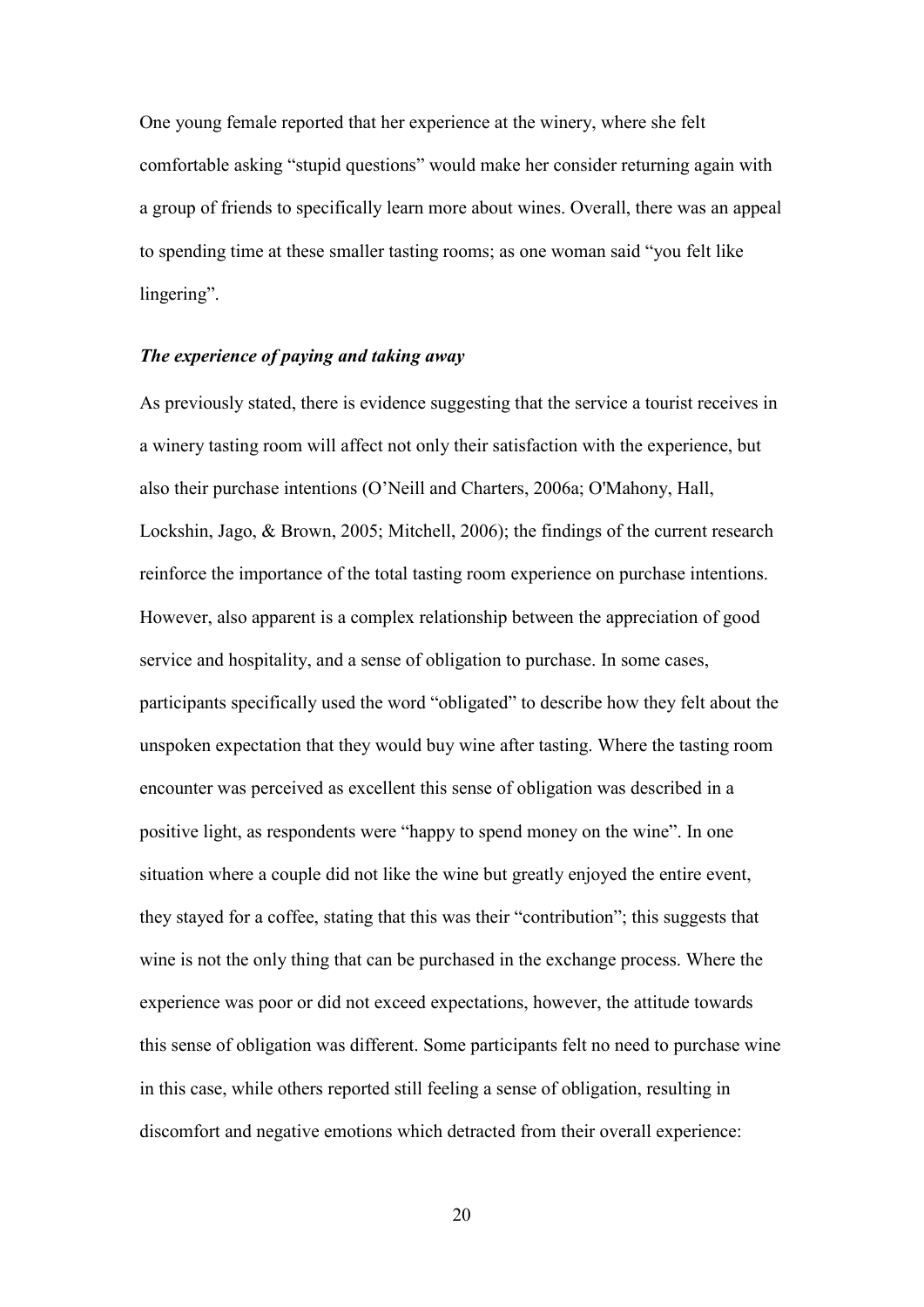One young female reported that her experience at the winery, where she felt comfortable asking "stupid questions" would make her consider returning again with a group of friends to specifically learn more about wines. Overall, there was an appeal to spending time at these smaller tasting rooms; as one woman said "you felt like lingering".

# *The experience of paying and taking away*

As previously stated, there is evidence suggesting that the service a tourist receives in a winery tasting room will affect not only their satisfaction with the experience, but also their purchase intentions (O'Neill and Charters, 2006a; O'Mahony, Hall, Lockshin, Jago, & Brown, 2005; Mitchell, 2006); the findings of the current research reinforce the importance of the total tasting room experience on purchase intentions. However, also apparent is a complex relationship between the appreciation of good service and hospitality, and a sense of obligation to purchase. In some cases, participants specifically used the word "obligated" to describe how they felt about the unspoken expectation that they would buy wine after tasting. Where the tasting room encounter was perceived as excellent this sense of obligation was described in a positive light, as respondents were "happy to spend money on the wine". In one situation where a couple did not like the wine but greatly enjoyed the entire event, they stayed for a coffee, stating that this was their "contribution"; this suggests that wine is not the only thing that can be purchased in the exchange process. Where the experience was poor or did not exceed expectations, however, the attitude towards this sense of obligation was different. Some participants felt no need to purchase wine in this case, while others reported still feeling a sense of obligation, resulting in discomfort and negative emotions which detracted from their overall experience: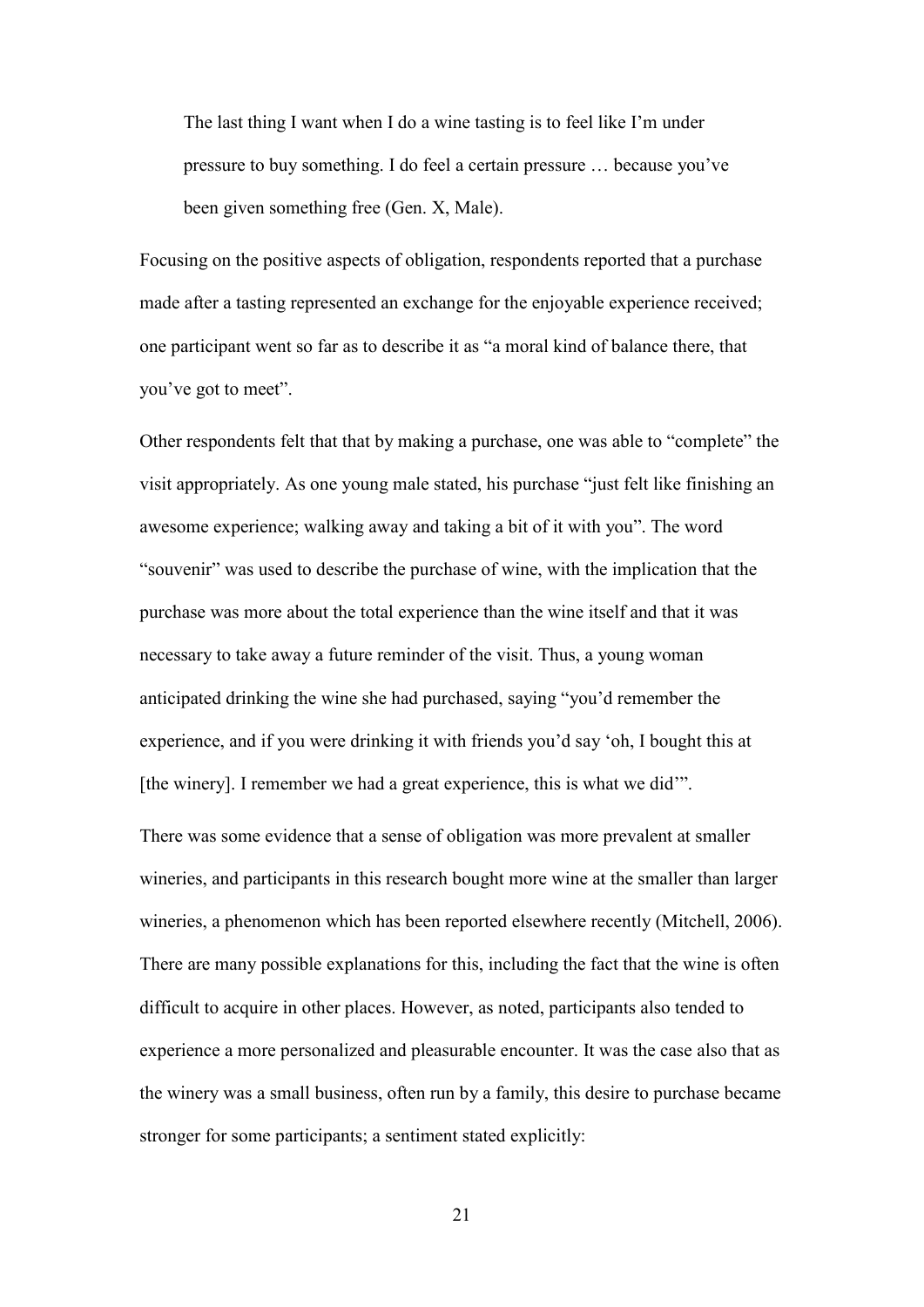The last thing I want when I do a wine tasting is to feel like I'm under pressure to buy something. I do feel a certain pressure … because you've been given something free (Gen. X, Male).

Focusing on the positive aspects of obligation, respondents reported that a purchase made after a tasting represented an exchange for the enjoyable experience received; one participant went so far as to describe it as "a moral kind of balance there, that you've got to meet".

Other respondents felt that that by making a purchase, one was able to "complete" the visit appropriately. As one young male stated, his purchase "just felt like finishing an awesome experience; walking away and taking a bit of it with you". The word "souvenir" was used to describe the purchase of wine, with the implication that the purchase was more about the total experience than the wine itself and that it was necessary to take away a future reminder of the visit. Thus, a young woman anticipated drinking the wine she had purchased, saying "you'd remember the experience, and if you were drinking it with friends you'd say 'oh, I bought this at [the winery]. I remember we had a great experience, this is what we did'".

There was some evidence that a sense of obligation was more prevalent at smaller wineries, and participants in this research bought more wine at the smaller than larger wineries, a phenomenon which has been reported elsewhere recently (Mitchell, 2006). There are many possible explanations for this, including the fact that the wine is often difficult to acquire in other places. However, as noted, participants also tended to experience a more personalized and pleasurable encounter. It was the case also that as the winery was a small business, often run by a family, this desire to purchase became stronger for some participants; a sentiment stated explicitly: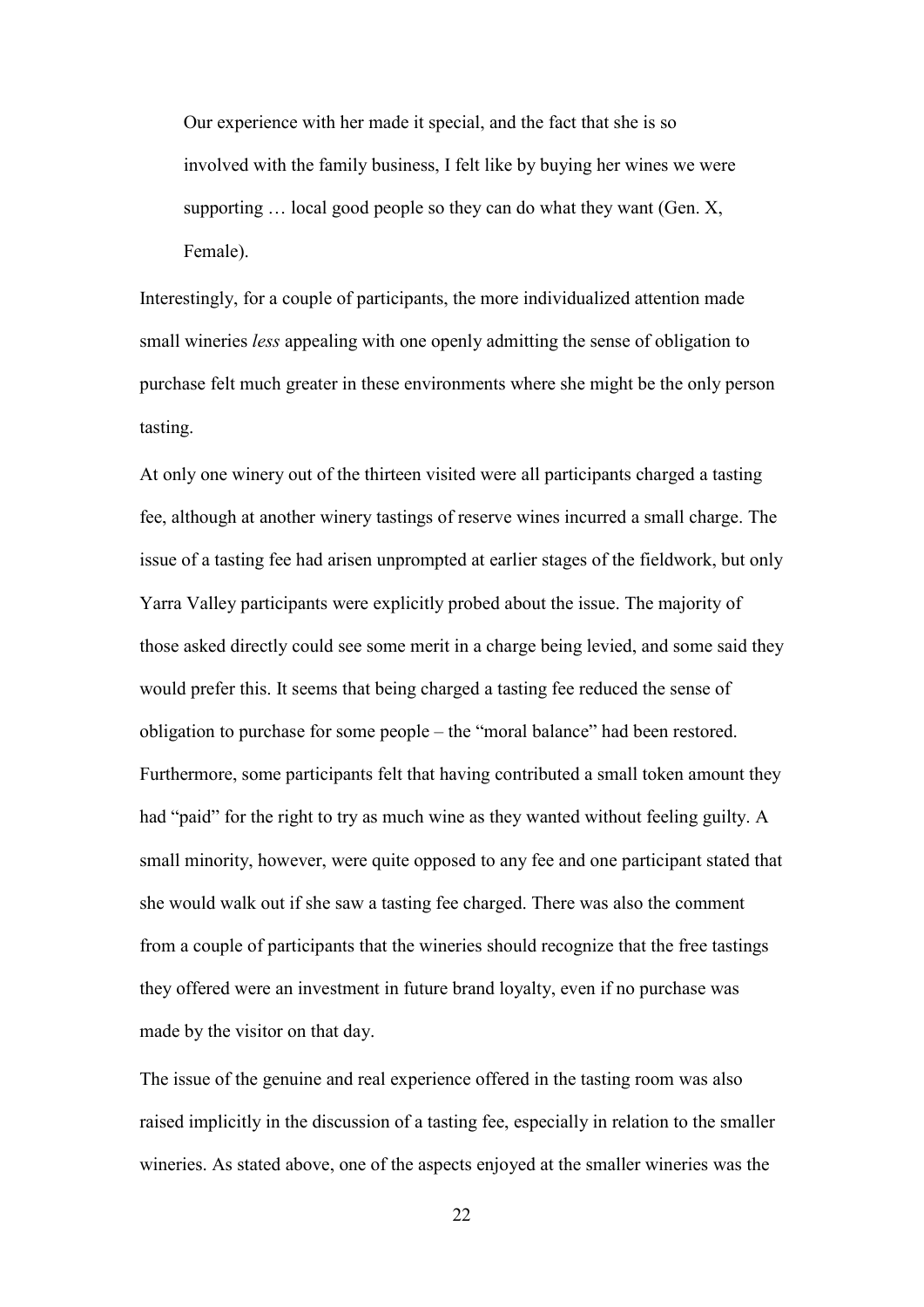Our experience with her made it special, and the fact that she is so involved with the family business, I felt like by buying her wines we were supporting … local good people so they can do what they want (Gen. X, Female).

Interestingly, for a couple of participants, the more individualized attention made small wineries *less* appealing with one openly admitting the sense of obligation to purchase felt much greater in these environments where she might be the only person tasting.

At only one winery out of the thirteen visited were all participants charged a tasting fee, although at another winery tastings of reserve wines incurred a small charge. The issue of a tasting fee had arisen unprompted at earlier stages of the fieldwork, but only Yarra Valley participants were explicitly probed about the issue. The majority of those asked directly could see some merit in a charge being levied, and some said they would prefer this. It seems that being charged a tasting fee reduced the sense of obligation to purchase for some people – the "moral balance" had been restored. Furthermore, some participants felt that having contributed a small token amount they had "paid" for the right to try as much wine as they wanted without feeling guilty. A small minority, however, were quite opposed to any fee and one participant stated that she would walk out if she saw a tasting fee charged. There was also the comment from a couple of participants that the wineries should recognize that the free tastings they offered were an investment in future brand loyalty, even if no purchase was made by the visitor on that day.

The issue of the genuine and real experience offered in the tasting room was also raised implicitly in the discussion of a tasting fee, especially in relation to the smaller wineries. As stated above, one of the aspects enjoyed at the smaller wineries was the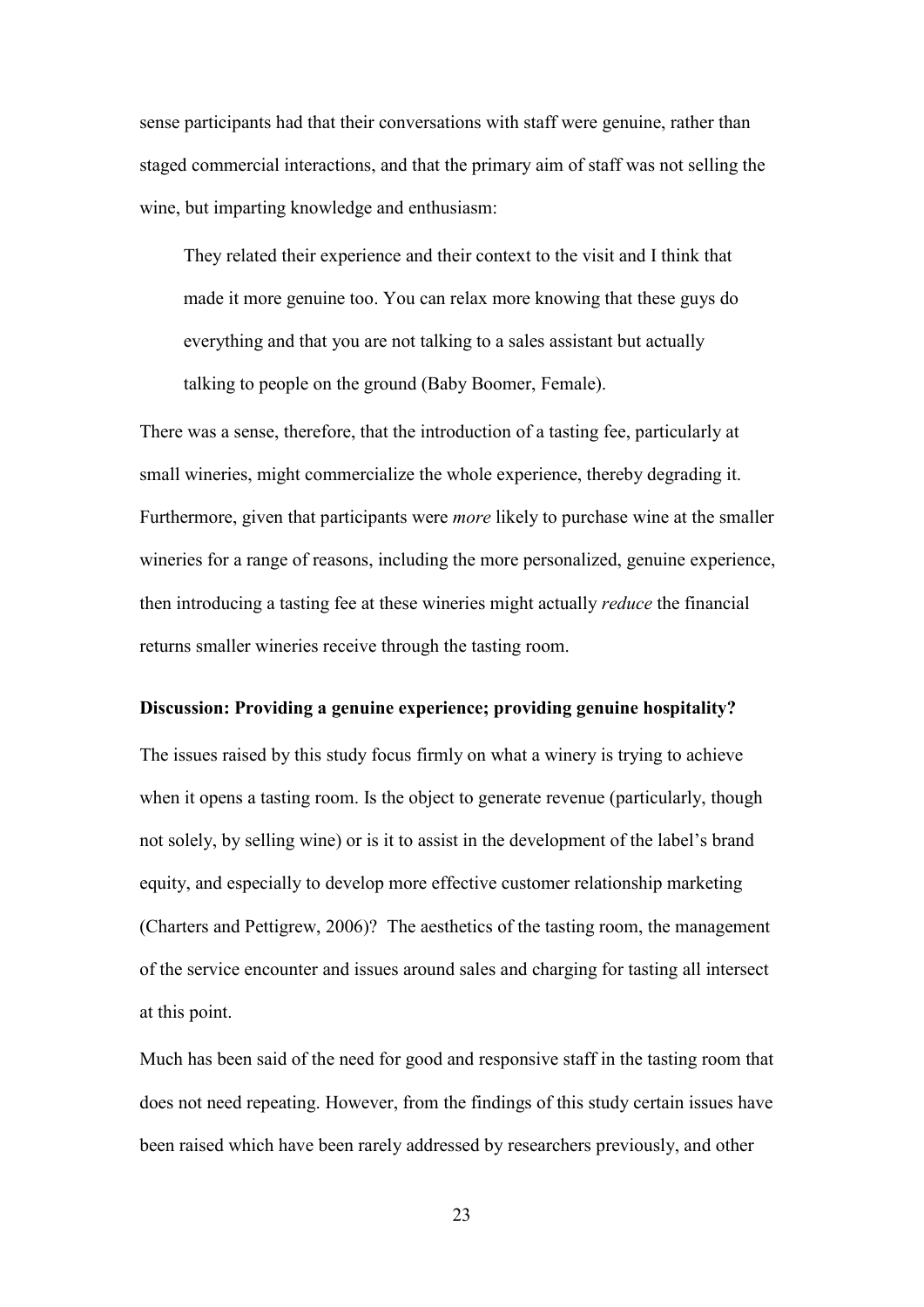sense participants had that their conversations with staff were genuine, rather than staged commercial interactions, and that the primary aim of staff was not selling the wine, but imparting knowledge and enthusiasm:

They related their experience and their context to the visit and I think that made it more genuine too. You can relax more knowing that these guys do everything and that you are not talking to a sales assistant but actually talking to people on the ground (Baby Boomer, Female).

There was a sense, therefore, that the introduction of a tasting fee, particularly at small wineries, might commercialize the whole experience, thereby degrading it. Furthermore, given that participants were *more* likely to purchase wine at the smaller wineries for a range of reasons, including the more personalized, genuine experience, then introducing a tasting fee at these wineries might actually *reduce* the financial returns smaller wineries receive through the tasting room.

#### **Discussion: Providing a genuine experience; providing genuine hospitality?**

The issues raised by this study focus firmly on what a winery is trying to achieve when it opens a tasting room. Is the object to generate revenue (particularly, though not solely, by selling wine) or is it to assist in the development of the label's brand equity, and especially to develop more effective customer relationship marketing (Charters and Pettigrew, 2006)? The aesthetics of the tasting room, the management of the service encounter and issues around sales and charging for tasting all intersect at this point.

Much has been said of the need for good and responsive staff in the tasting room that does not need repeating. However, from the findings of this study certain issues have been raised which have been rarely addressed by researchers previously, and other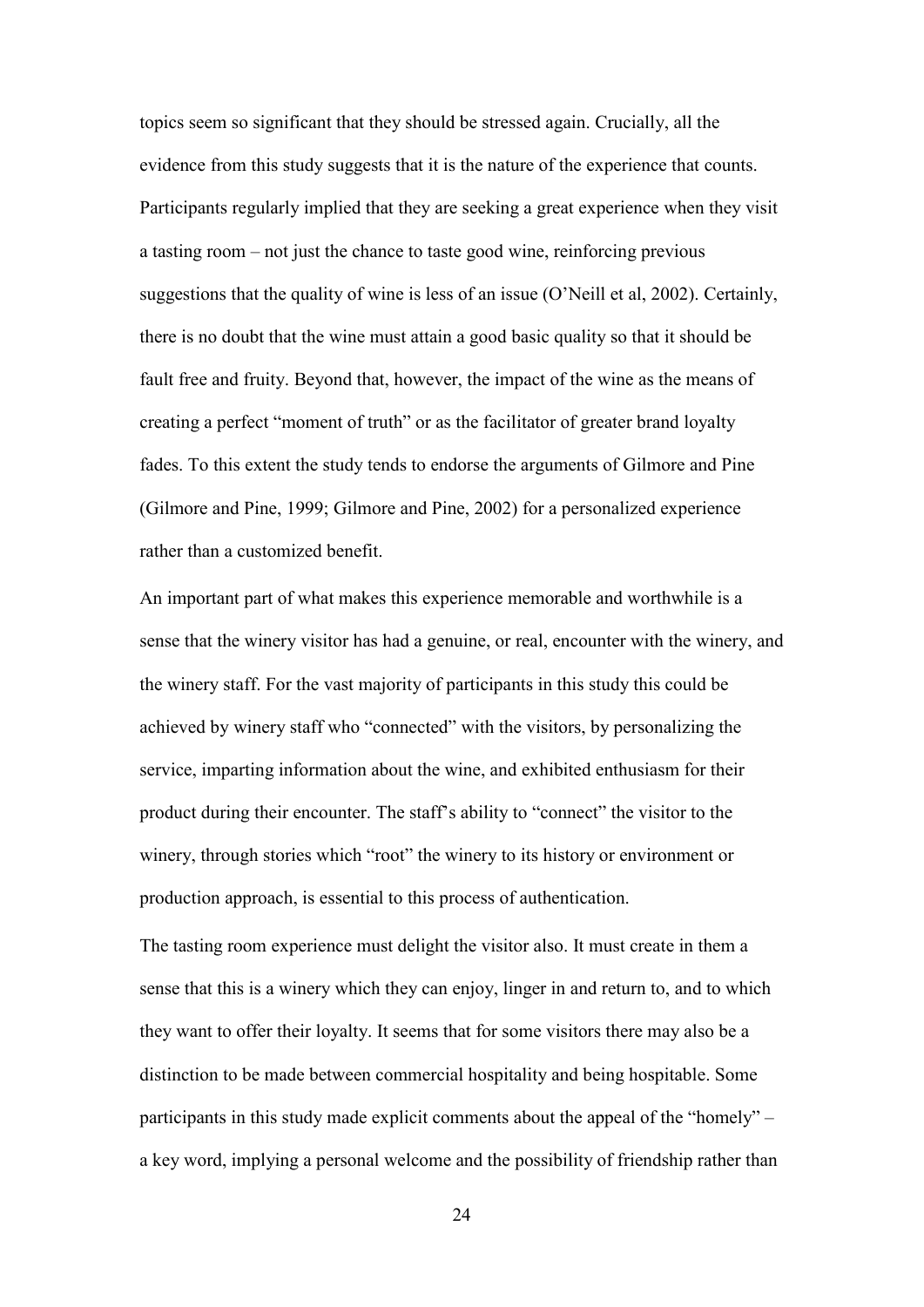topics seem so significant that they should be stressed again. Crucially, all the evidence from this study suggests that it is the nature of the experience that counts. Participants regularly implied that they are seeking a great experience when they visit a tasting room – not just the chance to taste good wine, reinforcing previous suggestions that the quality of wine is less of an issue (O'Neill et al, 2002). Certainly, there is no doubt that the wine must attain a good basic quality so that it should be fault free and fruity. Beyond that, however, the impact of the wine as the means of creating a perfect "moment of truth" or as the facilitator of greater brand loyalty fades. To this extent the study tends to endorse the arguments of Gilmore and Pine (Gilmore and Pine, 1999; Gilmore and Pine, 2002) for a personalized experience rather than a customized benefit.

An important part of what makes this experience memorable and worthwhile is a sense that the winery visitor has had a genuine, or real, encounter with the winery, and the winery staff. For the vast majority of participants in this study this could be achieved by winery staff who "connected" with the visitors, by personalizing the service, imparting information about the wine, and exhibited enthusiasm for their product during their encounter. The staff's ability to "connect" the visitor to the winery, through stories which "root" the winery to its history or environment or production approach, is essential to this process of authentication.

The tasting room experience must delight the visitor also. It must create in them a sense that this is a winery which they can enjoy, linger in and return to, and to which they want to offer their loyalty. It seems that for some visitors there may also be a distinction to be made between commercial hospitality and being hospitable. Some participants in this study made explicit comments about the appeal of the "homely" – a key word, implying a personal welcome and the possibility of friendship rather than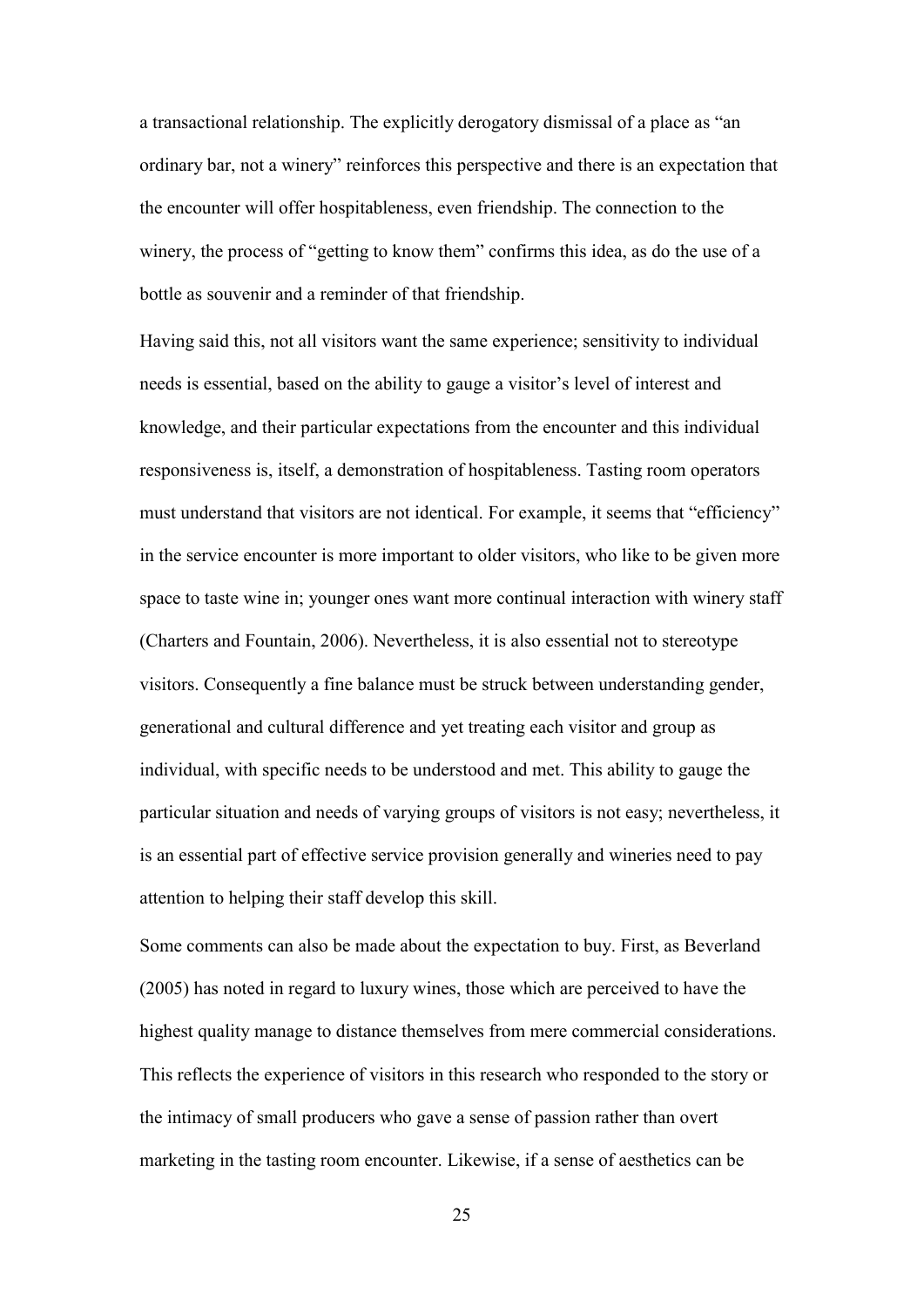a transactional relationship. The explicitly derogatory dismissal of a place as "an ordinary bar, not a winery" reinforces this perspective and there is an expectation that the encounter will offer hospitableness, even friendship. The connection to the winery, the process of "getting to know them" confirms this idea, as do the use of a bottle as souvenir and a reminder of that friendship.

Having said this, not all visitors want the same experience; sensitivity to individual needs is essential, based on the ability to gauge a visitor's level of interest and knowledge, and their particular expectations from the encounter and this individual responsiveness is, itself, a demonstration of hospitableness. Tasting room operators must understand that visitors are not identical. For example, it seems that "efficiency" in the service encounter is more important to older visitors, who like to be given more space to taste wine in; younger ones want more continual interaction with winery staff (Charters and Fountain, 2006). Nevertheless, it is also essential not to stereotype visitors. Consequently a fine balance must be struck between understanding gender, generational and cultural difference and yet treating each visitor and group as individual, with specific needs to be understood and met. This ability to gauge the particular situation and needs of varying groups of visitors is not easy; nevertheless, it is an essential part of effective service provision generally and wineries need to pay attention to helping their staff develop this skill.

Some comments can also be made about the expectation to buy. First, as Beverland (2005) has noted in regard to luxury wines, those which are perceived to have the highest quality manage to distance themselves from mere commercial considerations. This reflects the experience of visitors in this research who responded to the story or the intimacy of small producers who gave a sense of passion rather than overt marketing in the tasting room encounter. Likewise, if a sense of aesthetics can be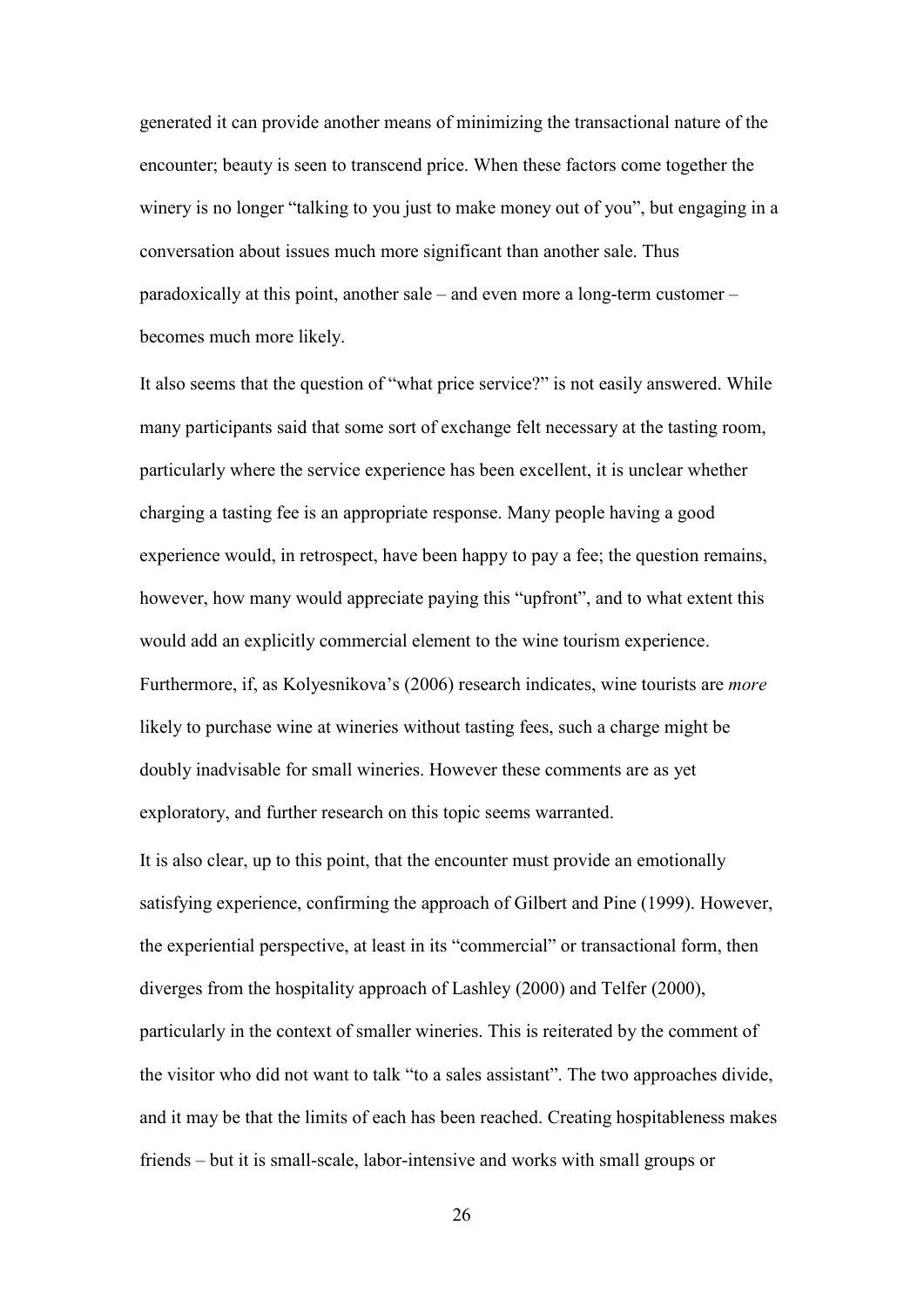generated it can provide another means of minimizing the transactional nature of the encounter; beauty is seen to transcend price. When these factors come together the winery is no longer "talking to you just to make money out of you", but engaging in a conversation about issues much more significant than another sale. Thus paradoxically at this point, another sale – and even more a long-term customer – becomes much more likely.

It also seems that the question of "what price service?" is not easily answered. While many participants said that some sort of exchange felt necessary at the tasting room, particularly where the service experience has been excellent, it is unclear whether charging a tasting fee is an appropriate response. Many people having a good experience would, in retrospect, have been happy to pay a fee; the question remains, however, how many would appreciate paying this "upfront", and to what extent this would add an explicitly commercial element to the wine tourism experience. Furthermore, if, as Kolyesnikova's (2006) research indicates, wine tourists are *more*  likely to purchase wine at wineries without tasting fees, such a charge might be doubly inadvisable for small wineries. However these comments are as yet exploratory, and further research on this topic seems warranted.

It is also clear, up to this point, that the encounter must provide an emotionally satisfying experience, confirming the approach of Gilbert and Pine (1999). However, the experiential perspective, at least in its "commercial" or transactional form, then diverges from the hospitality approach of Lashley (2000) and Telfer (2000), particularly in the context of smaller wineries. This is reiterated by the comment of the visitor who did not want to talk "to a sales assistant". The two approaches divide, and it may be that the limits of each has been reached. Creating hospitableness makes friends – but it is small-scale, labor-intensive and works with small groups or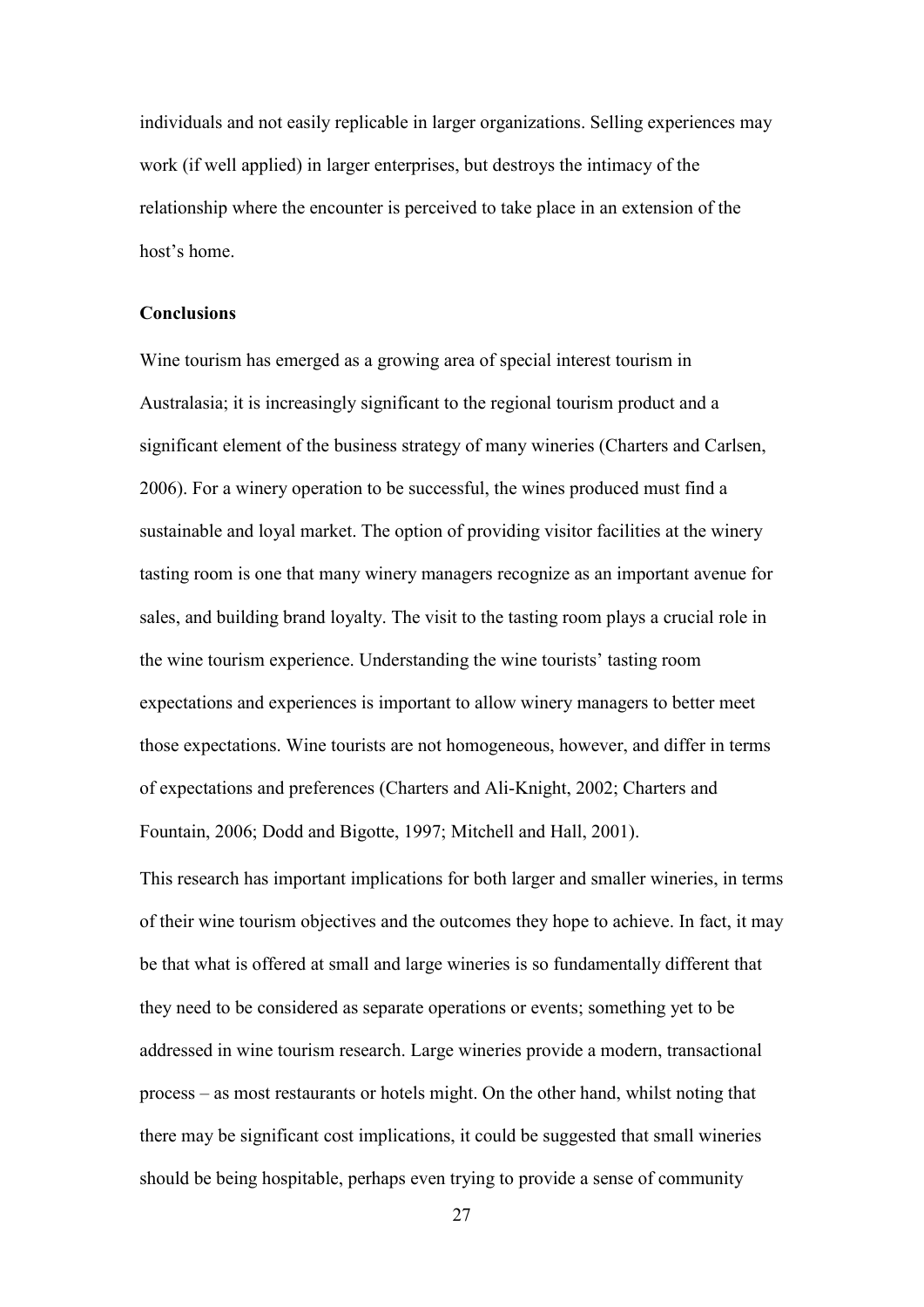individuals and not easily replicable in larger organizations. Selling experiences may work (if well applied) in larger enterprises, but destroys the intimacy of the relationship where the encounter is perceived to take place in an extension of the host's home.

#### **Conclusions**

Wine tourism has emerged as a growing area of special interest tourism in Australasia; it is increasingly significant to the regional tourism product and a significant element of the business strategy of many wineries (Charters and Carlsen, 2006). For a winery operation to be successful, the wines produced must find a sustainable and loyal market. The option of providing visitor facilities at the winery tasting room is one that many winery managers recognize as an important avenue for sales, and building brand loyalty. The visit to the tasting room plays a crucial role in the wine tourism experience. Understanding the wine tourists' tasting room expectations and experiences is important to allow winery managers to better meet those expectations. Wine tourists are not homogeneous, however, and differ in terms of expectations and preferences (Charters and Ali-Knight, 2002; Charters and Fountain, 2006; Dodd and Bigotte, 1997; Mitchell and Hall, 2001).

This research has important implications for both larger and smaller wineries, in terms of their wine tourism objectives and the outcomes they hope to achieve. In fact, it may be that what is offered at small and large wineries is so fundamentally different that they need to be considered as separate operations or events; something yet to be addressed in wine tourism research. Large wineries provide a modern, transactional process – as most restaurants or hotels might. On the other hand, whilst noting that there may be significant cost implications, it could be suggested that small wineries should be being hospitable, perhaps even trying to provide a sense of community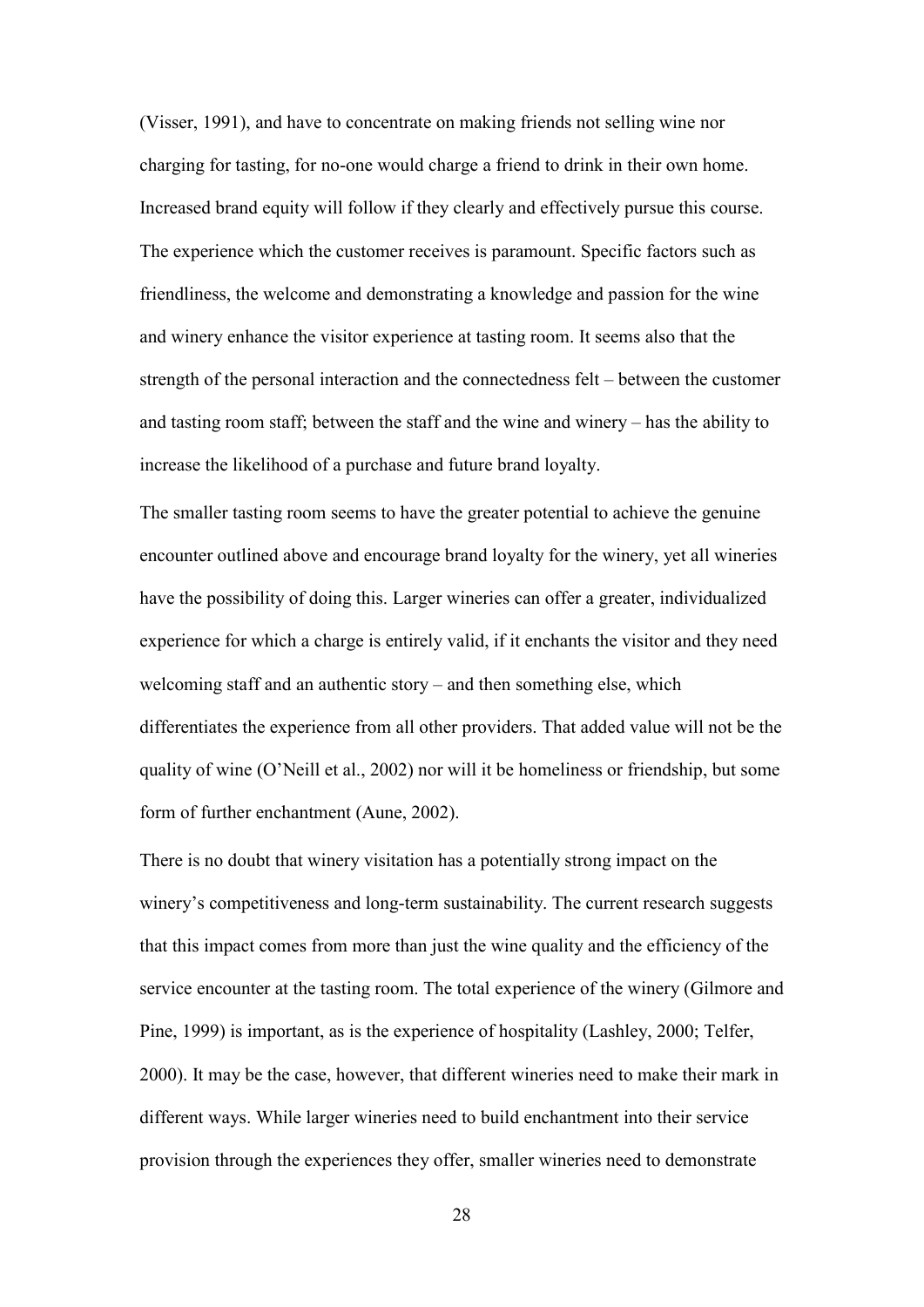(Visser, 1991), and have to concentrate on making friends not selling wine nor charging for tasting, for no-one would charge a friend to drink in their own home. Increased brand equity will follow if they clearly and effectively pursue this course. The experience which the customer receives is paramount. Specific factors such as friendliness, the welcome and demonstrating a knowledge and passion for the wine and winery enhance the visitor experience at tasting room. It seems also that the strength of the personal interaction and the connectedness felt – between the customer and tasting room staff; between the staff and the wine and winery – has the ability to increase the likelihood of a purchase and future brand loyalty.

The smaller tasting room seems to have the greater potential to achieve the genuine encounter outlined above and encourage brand loyalty for the winery, yet all wineries have the possibility of doing this. Larger wineries can offer a greater, individualized experience for which a charge is entirely valid, if it enchants the visitor and they need welcoming staff and an authentic story – and then something else, which differentiates the experience from all other providers. That added value will not be the quality of wine (O'Neill et al., 2002) nor will it be homeliness or friendship, but some form of further enchantment (Aune, 2002).

There is no doubt that winery visitation has a potentially strong impact on the winery's competitiveness and long-term sustainability. The current research suggests that this impact comes from more than just the wine quality and the efficiency of the service encounter at the tasting room. The total experience of the winery (Gilmore and Pine, 1999) is important, as is the experience of hospitality (Lashley, 2000; Telfer, 2000). It may be the case, however, that different wineries need to make their mark in different ways. While larger wineries need to build enchantment into their service provision through the experiences they offer, smaller wineries need to demonstrate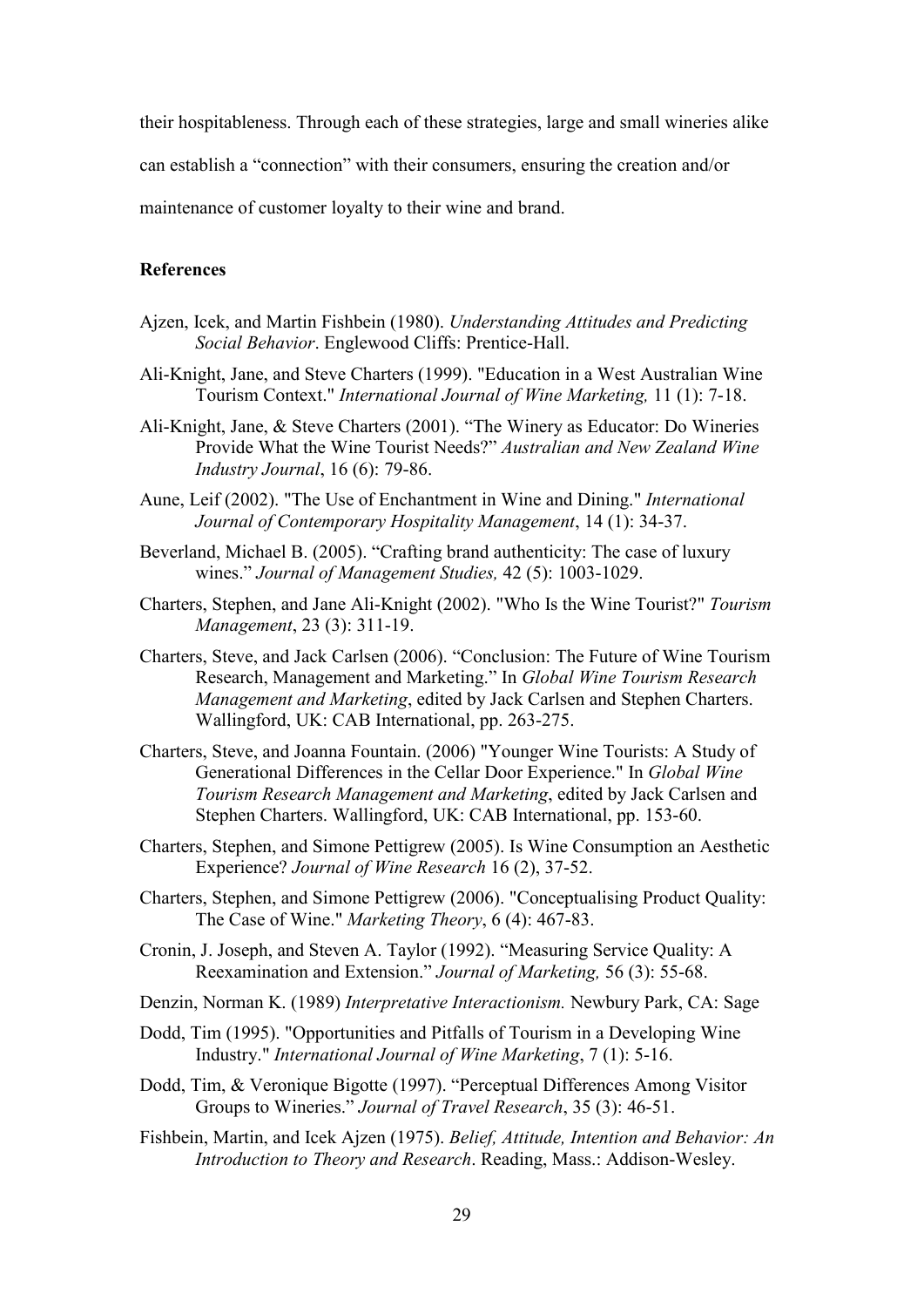their hospitableness. Through each of these strategies, large and small wineries alike

can establish a "connection" with their consumers, ensuring the creation and/or

maintenance of customer loyalty to their wine and brand.

# **References**

- Ajzen, Icek, and Martin Fishbein (1980). *Understanding Attitudes and Predicting Social Behavior*. Englewood Cliffs: Prentice-Hall.
- Ali-Knight, Jane, and Steve Charters (1999). "Education in a West Australian Wine Tourism Context." *International Journal of Wine Marketing,* 11 (1): 7-18.
- Ali-Knight, Jane, & Steve Charters (2001). "The Winery as Educator: Do Wineries Provide What the Wine Tourist Needs?" *Australian and New Zealand Wine Industry Journal*, 16 (6): 79-86.
- Aune, Leif (2002). "The Use of Enchantment in Wine and Dining." *International Journal of Contemporary Hospitality Management*, 14 (1): 34-37.
- Beverland, Michael B. (2005). "Crafting brand authenticity: The case of luxury wines." *Journal of Management Studies,* 42 (5): 1003-1029.
- Charters, Stephen, and Jane Ali-Knight (2002). "Who Is the Wine Tourist?" *Tourism Management*, 23 (3): 311-19.
- Charters, Steve, and Jack Carlsen (2006). "Conclusion: The Future of Wine Tourism Research, Management and Marketing." In *Global Wine Tourism Research Management and Marketing*, edited by Jack Carlsen and Stephen Charters. Wallingford, UK: CAB International, pp. 263-275.
- Charters, Steve, and Joanna Fountain. (2006) "Younger Wine Tourists: A Study of Generational Differences in the Cellar Door Experience." In *Global Wine Tourism Research Management and Marketing*, edited by Jack Carlsen and Stephen Charters. Wallingford, UK: CAB International, pp. 153-60.
- Charters, Stephen, and Simone Pettigrew (2005). Is Wine Consumption an Aesthetic Experience? *Journal of Wine Research* 16 (2), 37-52.
- Charters, Stephen, and Simone Pettigrew (2006). "Conceptualising Product Quality: The Case of Wine." *Marketing Theory*, 6 (4): 467-83.
- Cronin, J. Joseph, and Steven A. Taylor (1992). "Measuring Service Quality: A Reexamination and Extension." *Journal of Marketing,* 56 (3): 55-68.
- Denzin, Norman K. (1989) *Interpretative Interactionism.* Newbury Park, CA: Sage
- Dodd, Tim (1995). "Opportunities and Pitfalls of Tourism in a Developing Wine Industry." *International Journal of Wine Marketing*, 7 (1): 5-16.
- Dodd, Tim, & Veronique Bigotte (1997). "Perceptual Differences Among Visitor Groups to Wineries." *Journal of Travel Research*, 35 (3): 46-51.
- Fishbein, Martin, and Icek Ajzen (1975). *Belief, Attitude, Intention and Behavior: An Introduction to Theory and Research*. Reading, Mass.: Addison-Wesley.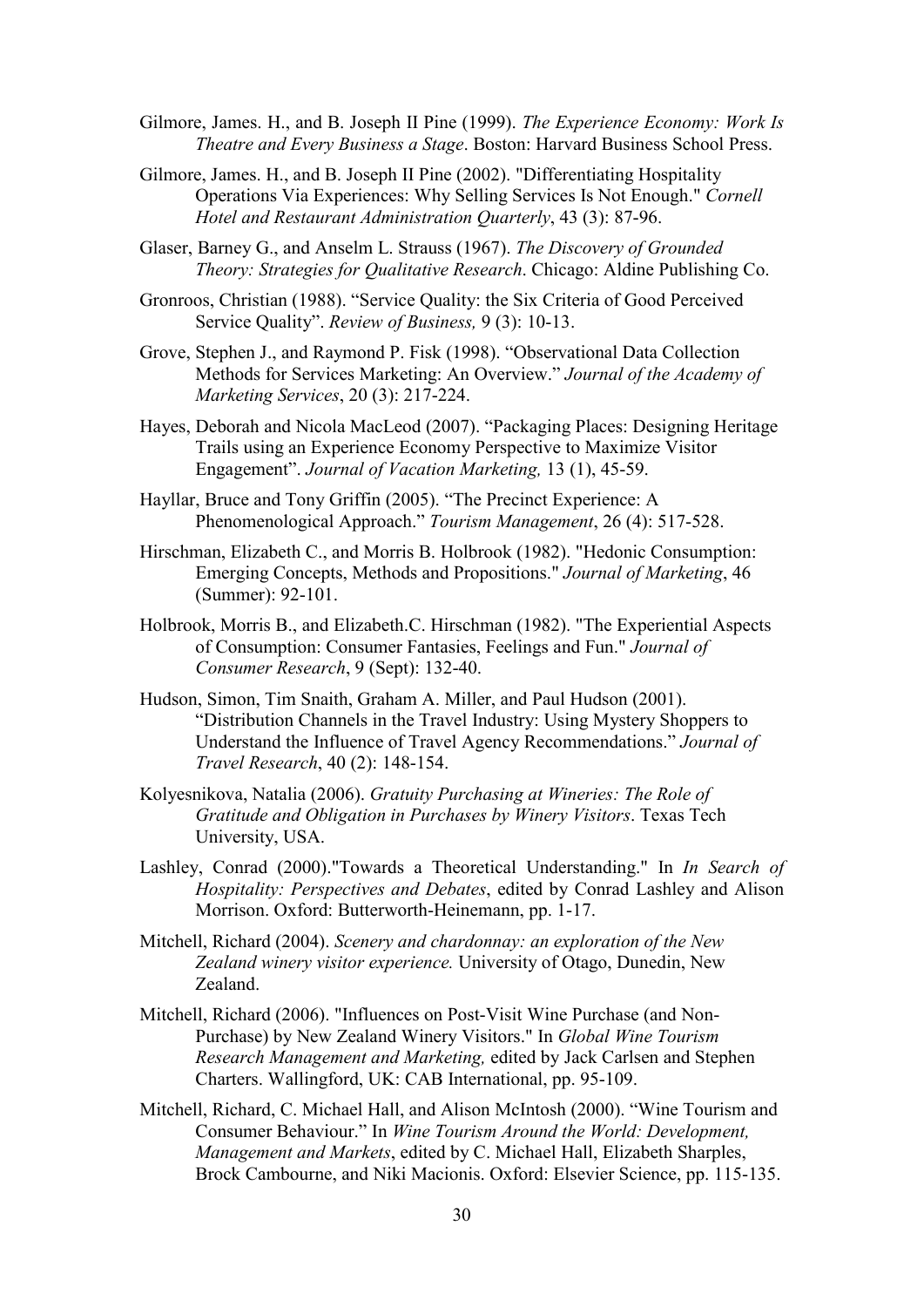- Gilmore, James. H., and B. Joseph II Pine (1999). *The Experience Economy: Work Is Theatre and Every Business a Stage*. Boston: Harvard Business School Press.
- Gilmore, James. H., and B. Joseph II Pine (2002). "Differentiating Hospitality Operations Via Experiences: Why Selling Services Is Not Enough." *Cornell Hotel and Restaurant Administration Quarterly*, 43 (3): 87-96.
- Glaser, Barney G., and Anselm L. Strauss (1967). *The Discovery of Grounded Theory: Strategies for Qualitative Research*. Chicago: Aldine Publishing Co.
- Gronroos, Christian (1988). "Service Quality: the Six Criteria of Good Perceived Service Quality". *Review of Business,* 9 (3): 10-13.
- Grove, Stephen J., and Raymond P. Fisk (1998). "Observational Data Collection Methods for Services Marketing: An Overview." *Journal of the Academy of Marketing Services*, 20 (3): 217-224.
- Hayes, Deborah and Nicola MacLeod (2007). "Packaging Places: Designing Heritage Trails using an Experience Economy Perspective to Maximize Visitor Engagement". *Journal of Vacation Marketing,* 13 (1), 45-59.
- Hayllar, Bruce and Tony Griffin (2005). "The Precinct Experience: A Phenomenological Approach." *Tourism Management*, 26 (4): 517-528.
- Hirschman, Elizabeth C., and Morris B. Holbrook (1982). "Hedonic Consumption: Emerging Concepts, Methods and Propositions." *Journal of Marketing*, 46 (Summer): 92-101.
- Holbrook, Morris B., and Elizabeth.C. Hirschman (1982). "The Experiential Aspects of Consumption: Consumer Fantasies, Feelings and Fun." *Journal of Consumer Research*, 9 (Sept): 132-40.
- Hudson, Simon, Tim Snaith, Graham A. Miller, and Paul Hudson (2001). "Distribution Channels in the Travel Industry: Using Mystery Shoppers to Understand the Influence of Travel Agency Recommendations." *Journal of Travel Research*, 40 (2): 148-154.
- Kolyesnikova, Natalia (2006). *Gratuity Purchasing at Wineries: The Role of Gratitude and Obligation in Purchases by Winery Visitors*. Texas Tech University, USA.
- Lashley, Conrad (2000)."Towards a Theoretical Understanding." In *In Search of Hospitality: Perspectives and Debates*, edited by Conrad Lashley and Alison Morrison. Oxford: Butterworth-Heinemann, pp. 1-17.
- Mitchell, Richard (2004). *Scenery and chardonnay: an exploration of the New Zealand winery visitor experience.* University of Otago, Dunedin, New Zealand.
- Mitchell, Richard (2006). "Influences on Post-Visit Wine Purchase (and Non-Purchase) by New Zealand Winery Visitors." In *Global Wine Tourism Research Management and Marketing,* edited by Jack Carlsen and Stephen Charters. Wallingford, UK: CAB International, pp. 95-109.
- Mitchell, Richard, C. Michael Hall, and Alison McIntosh (2000). "Wine Tourism and Consumer Behaviour." In *Wine Tourism Around the World: Development, Management and Markets*, edited by C. Michael Hall, Elizabeth Sharples, Brock Cambourne, and Niki Macionis. Oxford: Elsevier Science, pp. 115-135.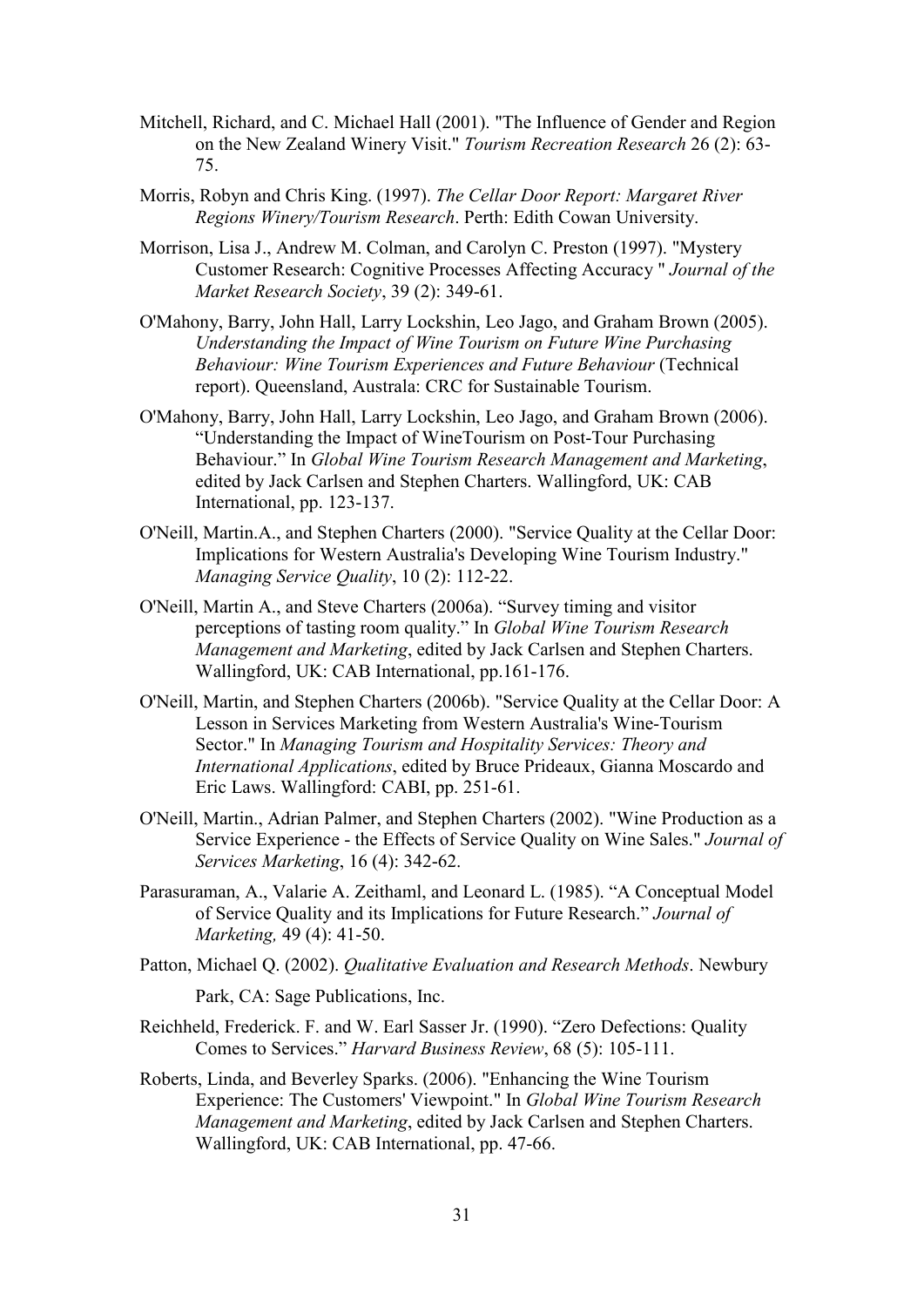- Mitchell, Richard, and C. Michael Hall (2001). "The Influence of Gender and Region on the New Zealand Winery Visit." *Tourism Recreation Research* 26 (2): 63- 75.
- Morris, Robyn and Chris King. (1997). *The Cellar Door Report: Margaret River Regions Winery/Tourism Research*. Perth: Edith Cowan University.
- Morrison, Lisa J., Andrew M. Colman, and Carolyn C. Preston (1997). "Mystery Customer Research: Cognitive Processes Affecting Accuracy " *Journal of the Market Research Society*, 39 (2): 349-61.
- O'Mahony, Barry, John Hall, Larry Lockshin, Leo Jago, and Graham Brown (2005). *Understanding the Impact of Wine Tourism on Future Wine Purchasing Behaviour: Wine Tourism Experiences and Future Behaviour* (Technical report). Queensland, Australa: CRC for Sustainable Tourism.
- O'Mahony, Barry, John Hall, Larry Lockshin, Leo Jago, and Graham Brown (2006). "Understanding the Impact of WineTourism on Post-Tour Purchasing Behaviour." In *Global Wine Tourism Research Management and Marketing*, edited by Jack Carlsen and Stephen Charters. Wallingford, UK: CAB International, pp. 123-137.
- O'Neill, Martin.A., and Stephen Charters (2000). "Service Quality at the Cellar Door: Implications for Western Australia's Developing Wine Tourism Industry." *Managing Service Quality*, 10 (2): 112-22.
- O'Neill, Martin A., and Steve Charters (2006a). "Survey timing and visitor perceptions of tasting room quality." In *Global Wine Tourism Research Management and Marketing*, edited by Jack Carlsen and Stephen Charters. Wallingford, UK: CAB International, pp.161-176.
- O'Neill, Martin, and Stephen Charters (2006b). "Service Quality at the Cellar Door: A Lesson in Services Marketing from Western Australia's Wine-Tourism Sector." In *Managing Tourism and Hospitality Services: Theory and International Applications*, edited by Bruce Prideaux, Gianna Moscardo and Eric Laws. Wallingford: CABI, pp. 251-61.
- O'Neill, Martin., Adrian Palmer, and Stephen Charters (2002). "Wine Production as a Service Experience - the Effects of Service Quality on Wine Sales." *Journal of Services Marketing*, 16 (4): 342-62.
- Parasuraman, A., Valarie A. Zeithaml, and Leonard L. (1985). "A Conceptual Model of Service Quality and its Implications for Future Research." *Journal of Marketing,* 49 (4): 41-50.
- Patton, Michael Q. (2002). *Qualitative Evaluation and Research Methods*. Newbury Park, CA: Sage Publications, Inc.
- Reichheld, Frederick. F. and W. Earl Sasser Jr. (1990). "Zero Defections: Quality Comes to Services." *Harvard Business Review*, 68 (5): 105-111.
- Roberts, Linda, and Beverley Sparks. (2006). "Enhancing the Wine Tourism Experience: The Customers' Viewpoint." In *Global Wine Tourism Research Management and Marketing*, edited by Jack Carlsen and Stephen Charters. Wallingford, UK: CAB International, pp. 47-66.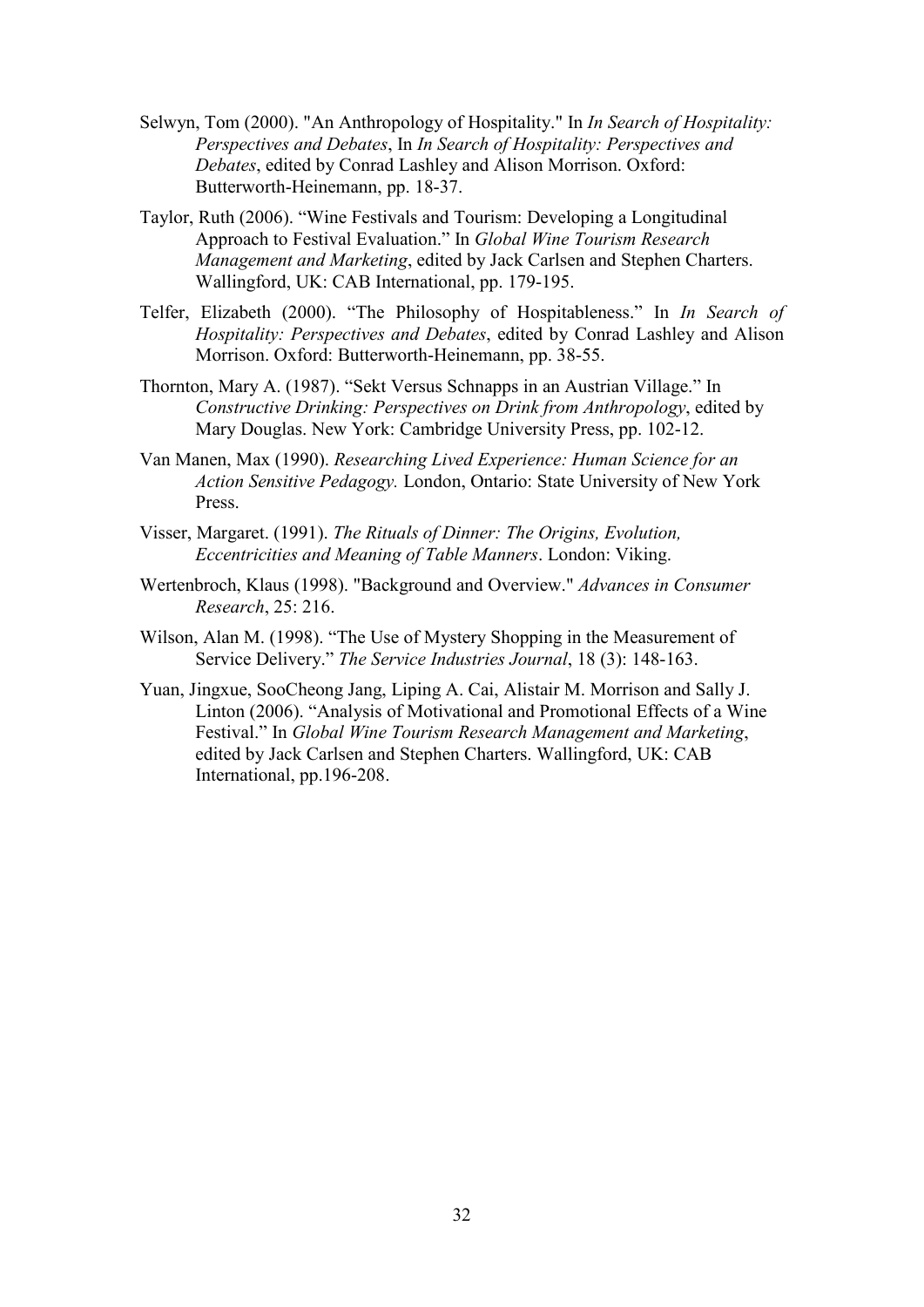- Selwyn, Tom (2000). "An Anthropology of Hospitality." In *In Search of Hospitality: Perspectives and Debates*, In *In Search of Hospitality: Perspectives and Debates*, edited by Conrad Lashley and Alison Morrison. Oxford: Butterworth-Heinemann, pp. 18-37.
- Taylor, Ruth (2006). "Wine Festivals and Tourism: Developing a Longitudinal Approach to Festival Evaluation." In *Global Wine Tourism Research Management and Marketing*, edited by Jack Carlsen and Stephen Charters. Wallingford, UK: CAB International, pp. 179-195.
- Telfer, Elizabeth (2000). "The Philosophy of Hospitableness." In *In Search of Hospitality: Perspectives and Debates*, edited by Conrad Lashley and Alison Morrison. Oxford: Butterworth-Heinemann, pp. 38-55.
- Thornton, Mary A. (1987). "Sekt Versus Schnapps in an Austrian Village." In *Constructive Drinking: Perspectives on Drink from Anthropology*, edited by Mary Douglas. New York: Cambridge University Press, pp. 102-12.
- Van Manen, Max (1990). *Researching Lived Experience: Human Science for an Action Sensitive Pedagogy.* London, Ontario: State University of New York Press.
- Visser, Margaret. (1991). *The Rituals of Dinner: The Origins, Evolution, Eccentricities and Meaning of Table Manners*. London: Viking.
- Wertenbroch, Klaus (1998). "Background and Overview." *Advances in Consumer Research*, 25: 216.
- Wilson, Alan M. (1998). "The Use of Mystery Shopping in the Measurement of Service Delivery." *The Service Industries Journal*, 18 (3): 148-163.
- Yuan, Jingxue, SooCheong Jang, Liping A. Cai, Alistair M. Morrison and Sally J. Linton (2006). "Analysis of Motivational and Promotional Effects of a Wine Festival." In *Global Wine Tourism Research Management and Marketing*, edited by Jack Carlsen and Stephen Charters. Wallingford, UK: CAB International, pp.196-208.